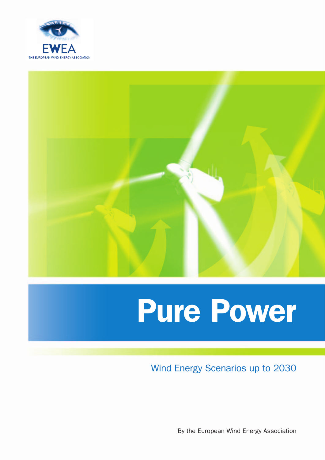



# **Pure Power**

Wind Energy Scenarios up to 2030

By the European Wind Energy Association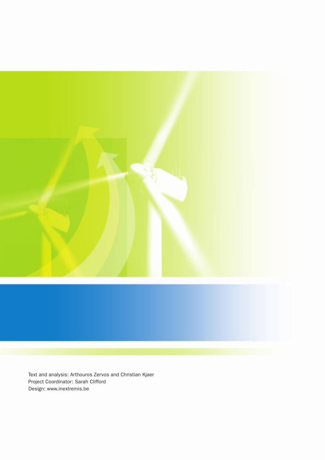

Text and analysis: Arthouros Zervos and Christian Kjaer Project Coordinator: Sarah Clifford Design: www.inextremis.be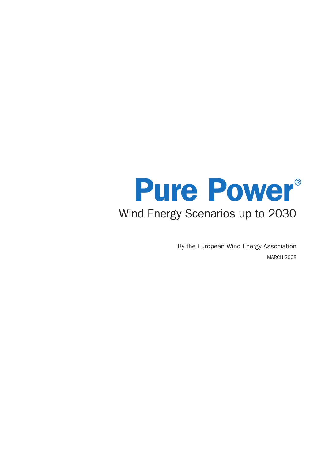

By the European Wind Energy Association MARCH 2008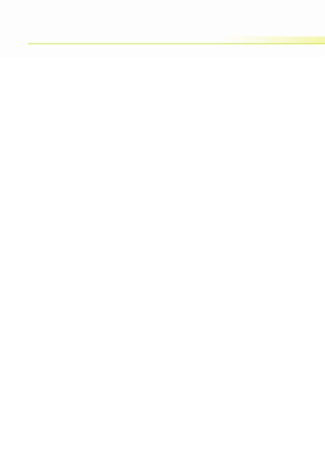<u> 1989 - John Harrison, maritan amerikan</u>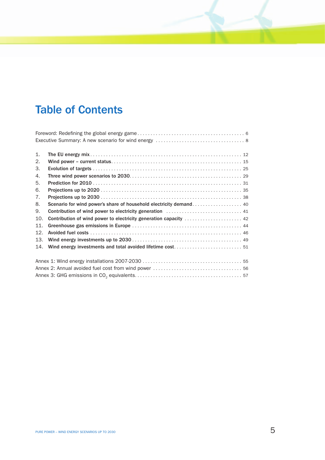# Table of Contents

| $\mathbf{1}$ . |                                                                   |
|----------------|-------------------------------------------------------------------|
| 2.             |                                                                   |
| 3.             |                                                                   |
| 4.             |                                                                   |
| 5.             |                                                                   |
| 6.             |                                                                   |
| 7.             |                                                                   |
| 8.             |                                                                   |
| 9.             |                                                                   |
| 10.            | Contribution of wind power to electricity generation capacity  42 |
| 11.            |                                                                   |
| 12.            |                                                                   |
| 13.            |                                                                   |
| 14.            |                                                                   |
|                |                                                                   |
|                |                                                                   |
|                |                                                                   |
|                |                                                                   |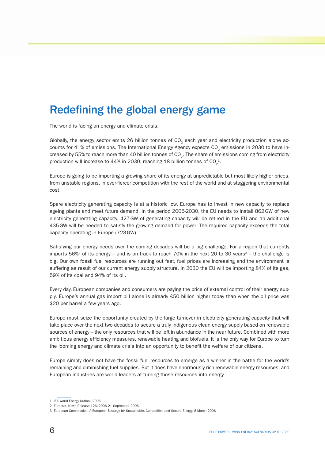# Redefining the global energy game

The world is facing an energy and climate crisis.

Globally, the energy sector emits 26 billion tonnes of  $CO<sub>2</sub>$  each year and electricity production alone accounts for 41% of emissions. The International Energy Agency expects  $CO<sub>2</sub>$  emissions in 2030 to have increased by 55% to reach more than 40 billion tonnes of CO<sub>2</sub>. The share of emissions coming from electricity production will increase to 44% in 2030, reaching 18 billion tonnes of  $\mathsf{CO}_{2}^{-1}.$ 

Europe is going to be importing a growing share of its energy at unpredictable but most likely higher prices, from unstable regions, in ever-fiercer competition with the rest of the world and at staggering environmental cost.

Spare electricity generating capacity is at a historic low. Europe has to invest in new capacity to replace ageing plants and meet future demand. In the period 2005-2030, the EU needs to install 862 GW of new electricity generating capacity. 427 GW of generating capacity will be retired in the EU and an additional 435 GW will be needed to satisfy the growing demand for power. The required capacity exceeds the total capacity operating in Europe (723 GW).

Satisfying our energy needs over the coming decades will be a big challenge. For a region that currently imports 56%<sup>2</sup> of its energy – and is on track to reach 70% in the next 20 to 30 years<sup>3</sup> – the challenge is big. Our own fossil fuel resources are running out fast, fuel prices are increasing and the environment is suffering as result of our current energy supply structure. In 2030 the EU will be importing 84% of its gas, 59% of its coal and 94% of its oil.

Every day, European companies and consumers are paying the price of external control of their energy supply. Europe's annual gas import bill alone is already €50 billion higher today than when the oil price was \$20 per barrel a few years ago.

Europe must seize the opportunity created by the large turnover in electricity generating capacity that will take place over the next two decades to secure a truly indigenous clean energy supply based on renewable sources of energy – the only resources that will be left in abundance in the near future. Combined with more ambitious energy efficiency measures, renewable heating and biofuels, it is the only way for Europe to turn the looming energy and climate crisis into an opportunity to benefit the welfare of our citizens.

Europe simply does not have the fossil fuel resources to emerge as a winner in the battle for the world's remaining and diminishing fuel supplies. But it does have enormously rich renewable energy resources, and European industries are world leaders at turning those resources into energy.

<sup>1</sup> IEA World Energy Outlook 2006

<sup>2</sup> Eurostat, News Release 126/2006 21 September 2006

<sup>3</sup> European Commission, A European Strategy for Sustainable, Competitive and Secure Energy, 8 March 2006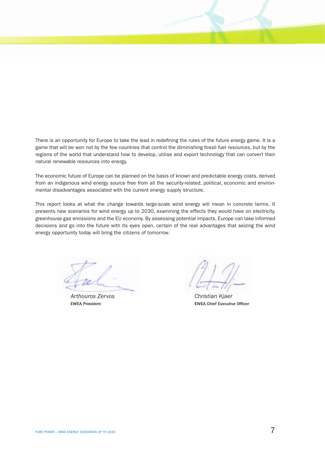There is an opportunity for Europe to take the lead in redefining the rules of the future energy game. It is a game that will be won not by the few countries that control the diminishing fossil fuel resources, but by the regions of the world that understand how to develop, utilise and export technology that can convert their natural renewable resources into energy.

The economic future of Europe can be planned on the basis of known and predictable energy costs, derived from an indigenous wind energy source free from all the security-related, political, economic and environmental disadvantages associated with the current energy supply structure.

This report looks at what the change towards large-scale wind energy will mean in concrete terms. It presents new scenarios for wind energy up to 2030, examining the effects they would have on electricity, greenhouse gas emissions and the EU economy. By assessing potential impacts, Europe can take informed decisions and go into the future with its eyes open, certain of the real advantages that seizing the wind energy opportunity today will bring the citizens of tomorrow.

Arthouros Zervos **Christian Kiaer** 

EWEA President **EWEA** President EWEA Chief Executive Officer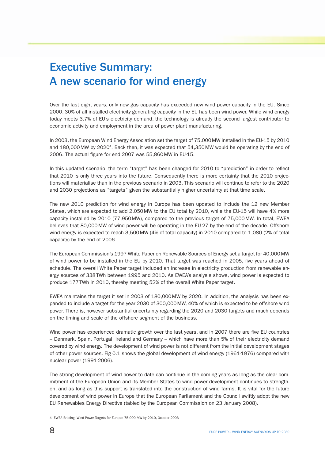# Executive Summary: A new scenario for wind energy

Over the last eight years, only new gas capacity has exceeded new wind power capacity in the EU. Since 2000, 30% of all installed electricity generating capacity in the EU has been wind power. While wind energy today meets 3.7% of EU's electricity demand, the technology is already the second largest contributor to economic activity and employment in the area of power plant manufacturing.

In 2003, the European Wind Energy Association set the target of 75,000 MW installed in the EU-15 by 2010 and 180,000 MW by 2020<sup>4</sup>. Back then, it was expected that 54,350 MW would be operating by the end of 2006. The actual figure for end 2007 was 55,860 MW in EU-15.

In this updated scenario, the term "target" has been changed for 2010 to "prediction" in order to reflect that 2010 is only three years into the future. Consequently there is more certainty that the 2010 projections will materialise than in the previous scenario in 2003. This scenario will continue to refer to the 2020 and 2030 projections as "targets" given the substantially higher uncertainty at that time scale.

The new 2010 prediction for wind energy in Europe has been updated to include the 12 new Member States, which are expected to add 2,050 MW to the EU total by 2010, while the EU-15 will have 4% more capacity installed by 2010 (77,950 MW), compared to the previous target of 75,000 MW. In total, EWEA believes that 80,000 MW of wind power will be operating in the EU-27 by the end of the decade. Offshore wind energy is expected to reach 3,500 MW (4% of total capacity) in 2010 compared to 1,080 (2% of total capacity) by the end of 2006.

The European Commission's 1997 White Paper on Renewable Sources of Energy set a target for 40,000 MW of wind power to be installed in the EU by 2010. That target was reached in 2005, five years ahead of schedule. The overall White Paper target included an increase in electricity production from renewable energy sources of 338 TWh between 1995 and 2010. As EWEA's analysis shows, wind power is expected to produce 177 TWh in 2010, thereby meeting 52% of the overall White Paper target.

EWEA maintains the target it set in 2003 of 180,000 MW by 2020. In addition, the analysis has been expanded to include a target for the year 2030 of 300,000 MW, 40% of which is expected to be offshore wind power. There is, however substantial uncertainty regarding the 2020 and 2030 targets and much depends on the timing and scale of the offshore segment of the business.

Wind power has experienced dramatic growth over the last years, and in 2007 there are five EU countries – Denmark, Spain, Portugal, Ireland and Germany – which have more than 5% of their electricity demand covered by wind energy. The development of wind power is not different from the initial development stages of other power sources. Fig 0.1 shows the global development of wind energy (1961-1976) compared with nuclear power (1991-2006).

The strong development of wind power to date can continue in the coming years as long as the clear commitment of the European Union and its Member States to wind power development continues to strengthen, and as long as this support is translated into the construction of wind farms. It is vital for the future development of wind power in Europe that the European Parliament and the Council swiftly adopt the new EU Renewables Energy Directive (tabled by the European Commission on 23 January 2008).

<sup>4</sup> EWEA Briefing: Wind Power Targets for Europe: 75,000 MW by 2010, October 2003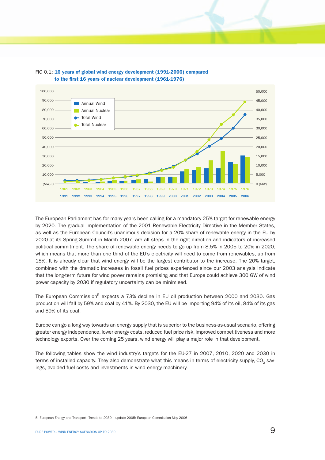



The European Parliament has for many years been calling for a mandatory 25% target for renewable energy by 2020. The gradual implementation of the 2001 Renewable Electricity Directive in the Member States, as well as the European Council's unanimous decision for a 20% share of renewable energy in the EU by 2020 at its Spring Summit in March 2007, are all steps in the right direction and indicators of increased political commitment. The share of renewable energy needs to go up from 8.5% in 2005 to 20% in 2020, which means that more than one third of the EU's electricity will need to come from renewables, up from 15%. It is already clear that wind energy will be the largest contributor to the increase. The 20% target, combined with the dramatic increases in fossil fuel prices experienced since our 2003 analysis indicate that the long-term future for wind power remains promising and that Europe could achieve 300 GW of wind power capacity by 2030 if regulatory uncertainty can be minimised.

The European Commission<sup>5</sup> expects a 73% decline in EU oil production between 2000 and 2030. Gas production will fall by 59% and coal by 41%. By 2030, the EU will be importing 94% of its oil, 84% of its gas and 59% of its coal.

Europe can go a long way towards an energy supply that is superior to the business-as-usual scenario, offering greater energy independence, lower energy costs, reduced fuel price risk, improved competitiveness and more technology exports. Over the coming 25 years, wind energy will play a major role in that development.

The following tables show the wind industry's targets for the EU-27 in 2007, 2010, 2020 and 2030 in terms of installed capacity. They also demonstrate what this means in terms of electricity supply, CO<sub>2</sub> savings, avoided fuel costs and investments in wind energy machinery.

<sup>5</sup> European Energy and Transport; Trends to 2030 – update 2005: European Commission May 2006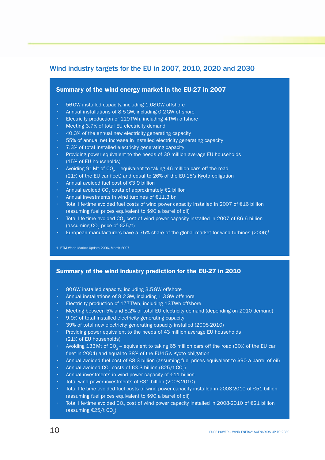### Wind industry targets for the EU in 2007, 2010, 2020 and 2030

### **Summary of the wind energy market in the EU-27 in 2007**

- 56GW installed capacity, including 1.08GW offshore
- Annual installations of 8.5GW, including 0.2GW offshore
- Electricity production of 119TWh, including 4TWh offshore
- Meeting 3.7% of total EU electricity demand
- 40.3% of the annual new electricity generating capacity
- 55% of annual net increase in installed electricity generating capacity
- 7.3% of total installed electricity generating capacity
- Providing power equivalent to the needs of 30 million average EU households (15% of EU households)
- Avoiding 91 Mt of  $CO<sub>2</sub>$  equivalent to taking 46 million cars off the road (21% of the EU car fleet) and equal to 26% of the EU-15's Kyoto obligation
- Annual avoided fuel cost of €3.9 billion
- Annual avoided CO<sub>2</sub> costs of approximately €2 billion<br>• Annual investments in wind turbines of €11.3 bn
- Annual investments in wind turbines of €11.3 bn
- Total life-time avoided fuel costs of wind power capacity installed in 2007 of €16 billion (assuming fuel prices equivalent to \$90 a barrel of oil)
- Total life-time avoided  $CO<sub>2</sub>$  cost of wind power capacity installed in 2007 of €6.6 billion (assuming  $CO<sub>2</sub>$  price of  $£25/t$ )
- European manufacturers have a 75% share of the global market for wind turbines  $(2006)^{1}$
- 1 BTM World Market Update 2006, March 2007

### **Summary of the wind industry prediction for the EU-27 in 2010**

- 80GW installed capacity, including 3.5GW offshore
- Annual installations of 8.2GW, including 1.3GW offshore
- Electricity production of 177TWh, including 13TWh offshore
- Meeting between 5% and 5.2% of total EU electricity demand (depending on 2010 demand)
- 9.9% of total installed electricity generating capacity
- 39% of total new electricity generating capacity installed (2005-2010)
- Providing power equivalent to the needs of 43 million average EU households (21% of EU households)
- Avoiding 133 Mt of  $CO_2$  equivalent to taking 65 million cars off the road (30% of the EU car fleet in 2004) and equal to 38% of the EU-15's Kyoto obligation
- Annual avoided fuel cost of €8.3 billion (assuming fuel prices equivalent to \$90 a barrel of oil)
- Annual avoided CO<sub>2</sub> costs of  $63.3$  billion ( $625/t$  CO<sub>2</sub>)
- Annual investments in wind power capacity of €11 billion
- Total wind power investments of €31 billion (2008-2010)
- Total life-time avoided fuel costs of wind power capacity installed in 2008-2010 of €51 billion (assuming fuel prices equivalent to \$90 a barrel of oil)
- Total life-time avoided CO<sub>2</sub> cost of wind power capacity installed in 2008-2010 of  $\epsilon$ 21 billion (assuming  $E25/t CO<sub>2</sub>$ )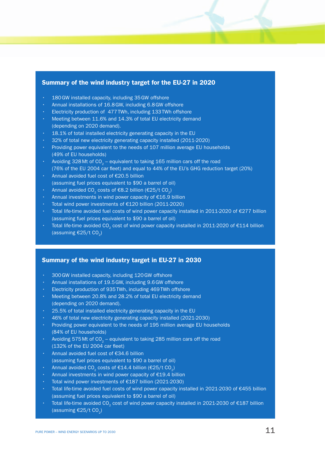### **Summary of the wind industry target for the EU-27 in 2020**

- 180GW installed capacity, including 35GW offshore
- Annual installations of 16.8GW, including 6.8GW offshore
- Electricity production of 477TWh, including 133TWh offshore
- Meeting between 11.6% and 14.3% of total EU electricity demand (depending on 2020 demand).
- 18.1% of total installed electricity generating capacity in the EU
- 32% of total new electricity generating capacity installed (2011-2020)
- Providing power equivalent to the needs of 107 million average EU households (49% of EU households)
- Avoiding 328Mt of  $CO<sub>2</sub>$  equivalent to taking 165 million cars off the road (76% of the EU 2004 car fleet) and equal to 44% of the EU's GHG reduction target (20%)
- Annual avoided fuel cost of €20.5 billion (assuming fuel prices equivalent to \$90 a barrel of oil)
- Annual avoided CO<sub>2</sub> costs of  $E$ 8.2 billion ( $E$ 25/t CO<sub>2</sub>)
- Annual investments in wind power capacity of  $E16.9$  billion
- Total wind power investments of €120 billion (2011-2020)
- Total life-time avoided fuel costs of wind power capacity installed in 2011-2020 of €277 billion (assuming fuel prices equivalent to \$90 a barrel of oil)
- Total life-time avoided CO<sub>2</sub> cost of wind power capacity installed in 2011-2020 of  $\epsilon$ 114 billion (assuming  $\epsilon$ 25/t CO<sub>2</sub>)

### **Summary of the wind industry target in EU-27 in 2030**

- 300 GW installed capacity, including 120GW offshore
- Annual installations of 19.5 GW, including 9.6GW offshore
- Electricity production of 935TWh, including 469TWh offshore
- Meeting between 20.8% and 28.2% of total EU electricity demand (depending on 2020 demand).
- 25.5% of total installed electricity generating capacity in the EU
- 46% of total new electricity generating capacity installed (2021-2030)
- Providing power equivalent to the needs of 195 million average EU households (84% of EU households)
- Avoiding 575 Mt of CO<sub>2</sub> equivalent to taking 285 million cars off the road  $(132% of the EU 2004 car fleet)$
- Annual avoided fuel cost of €34.6 billion (assuming fuel prices equivalent to \$90 a barrel of oil)
- Annual avoided CO<sub>2</sub> costs of  $E14.4$  billion ( $E25/t$  CO<sub>2</sub>)
- Annual investments in wind power capacity of €19.4 billion
- Total wind power investments of €187 billion (2021-2030)
- Total life-time avoided fuel costs of wind power capacity installed in 2021-2030 of €455 billion (assuming fuel prices equivalent to \$90 a barrel of oil)
- Total life-time avoided CO<sub>2</sub> cost of wind power capacity installed in 2021-2030 of €187 billion (assuming  $E25/t CO<sub>2</sub>$ )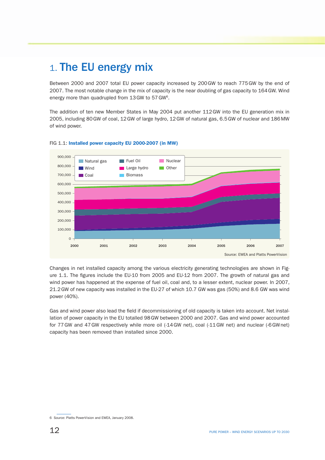# 1. The EU energy mix

Between 2000 and 2007 total EU power capacity increased by 200 GW to reach 775 GW by the end of 2007. The most notable change in the mix of capacity is the near doubling of gas capacity to 164 GW. Wind energy more than quadrupled from 13 GW to 57 GW<sup>6</sup>.

The addition of ten new Member States in May 2004 put another 112 GW into the EU generation mix in 2005, including 80 GW of coal, 12 GW of large hydro, 12 GW of natural gas, 6.5 GW of nuclear and 186 MW of wind power.





Changes in net installed capacity among the various electricity generating technologies are shown in Figure 1.1. The figures include the EU-10 from 2005 and EU-12 from 2007. The growth of natural gas and wind power has happened at the expense of fuel oil, coal and, to a lesser extent, nuclear power. In 2007, 21.2 GW of new capacity was installed in the EU-27 of which 10.7 GW was gas (50%) and 8.6 GW was wind power (40%).

Gas and wind power also lead the field if decommissioning of old capacity is taken into account. Net installation of power capacity in the EU totalled 98 GW between 2000 and 2007. Gas and wind power accounted for 77 GW and 47 GW respectively while more oil (-14 GW net), coal (-11 GW net) and nuclear (-6 GW net) capacity has been removed than installed since 2000.

<sup>6</sup> Source: Platts PowerVision and EWEA, January 2008.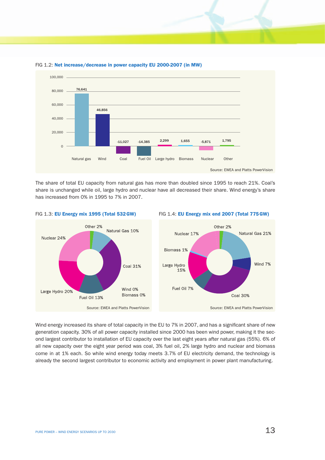

FIG 1.2: **Net increase/decrease in power capacity EU 2000-2007 (in MW)**

The share of total EU capacity from natural gas has more than doubled since 1995 to reach 21%. Coal's share is unchanged while oil, large hydro and nuclear have all decreased their share. Wind energy's share has increased from 0% in 1995 to 7% in 2007.



#### FIG 1.3: **EU Energy mix 1995 (Total 532 GW)** FIG 1.4: **EU Energy mix end 2007 (Total 775 GW)**

Wind energy increased its share of total capacity in the EU to 7% in 2007, and has a significant share of new generation capacity. 30% of all power capacity installed since 2000 has been wind power, making it the second largest contributor to installation of EU capacity over the last eight years after natural gas (55%). 6% of all new capacity over the eight year period was coal, 3% fuel oil, 2% large hydro and nuclear and biomass come in at 1% each. So while wind energy today meets 3.7% of EU electricity demand, the technology is already the second largest contributor to economic activity and employment in power plant manufacturing.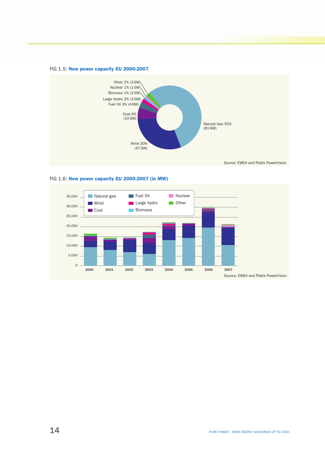#### FIG 1.5: **New power capacity EU 2000-2007**





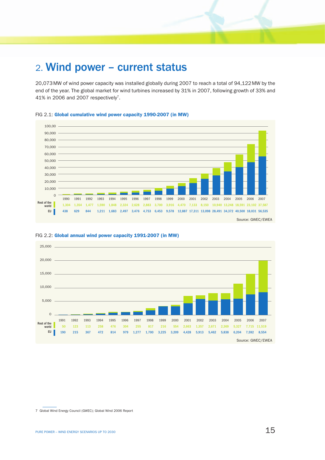### 2. Wind power – current status

20,073 MW of wind power capacity was installed globally during 2007 to reach a total of 94,122 MW by the end of the year. The global market for wind turbines increased by 31% in 2007, following growth of 33% and 41% in 2006 and 2007 respectively<sup>7</sup>.

#### FIG 2.1: **Global cumulative wind power capacity 1990-2007 (in MW)**





#### FIG 2.2: **Global annual wind power capacity 1991-2007 (in MW)**

7 Global Wind Energy Council (GWEC); Global Wind 2006 Report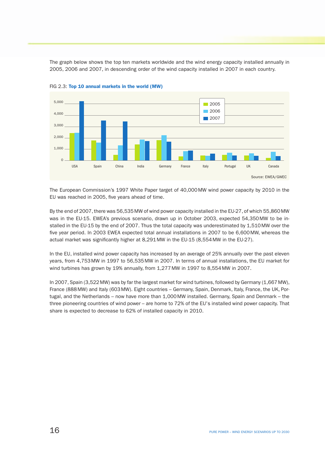The graph below shows the top ten markets worldwide and the wind energy capacity installed annually in 2005, 2006 and 2007, in descending order of the wind capacity installed in 2007 in each country.





The European Commission's 1997 White Paper target of 40,000 MW wind power capacity by 2010 in the EU was reached in 2005, five years ahead of time.

By the end of 2007, there was 56,535 MW of wind power capacity installed in the EU-27, of which 55,860 MW was in the EU-15. EWEA's previous scenario, drawn up in October 2003, expected 54,350 MW to be installed in the EU-15 by the end of 2007. Thus the total capacity was underestimated by 1,510 MW over the five year period. In 2003 EWEA expected total annual installations in 2007 to be 6,600 MW, whereas the actual market was significantly higher at 8,291 MW in the EU-15 (8,554 MW in the EU-27).

In the EU, installed wind power capacity has increased by an average of 25% annually over the past eleven years, from 4,753 MW in 1997 to 56,535 MW in 2007. In terms of annual installations, the EU market for wind turbines has grown by 19% annually, from 1,277 MW in 1997 to 8,554 MW in 2007.

In 2007, Spain (3,522 MW) was by far the largest market for wind turbines, followed by Germany (1,667 MW), France (888 MW) and Italy (603 MW). Eight countries – Germany, Spain, Denmark, Italy, France, the UK, Portugal, and the Netherlands – now have more than 1,000 MW installed. Germany, Spain and Denmark – the three pioneering countries of wind power – are home to 72% of the EU's installed wind power capacity. That share is expected to decrease to 62% of installed capacity in 2010.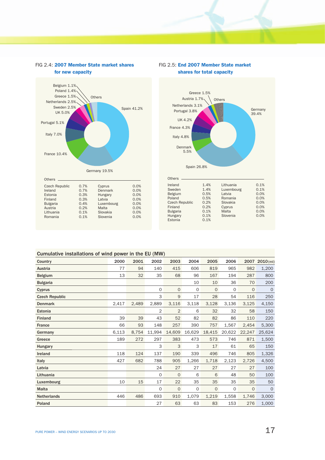

### FIG 2.4: **2007 Member State market shares for new capacity**

### FIG 2.5: **End 2007 Member State market shares for total capacity**



| Others                |      |            |      |
|-----------------------|------|------------|------|
| Ireland               | 1.4% | Lithuania  | 0.1% |
| Sweden                | 1.4% | Luxembourg | 0.1% |
| Belgium               | 0.5% | Latvia     | 0.0% |
| Poland                | 0.5% | Romania    | 0.0% |
| <b>Czech Republic</b> | 0.2% | Slovakia   | 0.0% |
| Finland               | 0.2% | Cyprus     | 0.0% |
| <b>Bulgaria</b>       | 0.1% | Malta      | 0.0% |
| Hungary               | 0.1% | Slovenia   | 0.0% |
| Estonia               | 0.1% |            |      |

### Cumulative installations of wind power in the EU (MW)

| Country               | 2000  | 2001  | 2002           | 2003           | 2004     | 2005         | 2006         | 2007         | $2010$ (est)   |
|-----------------------|-------|-------|----------------|----------------|----------|--------------|--------------|--------------|----------------|
| Austria               | 77    | 94    | 140            | 415            | 606      | 819          | 965          | 982          | 1,200          |
| <b>Belgium</b>        | 13    | 32    | 35             | 68             | 96       | 167          | 194          | 287          | 800            |
| <b>Bulgaria</b>       |       |       |                |                | 10       | 10           | 36           | 70           | 200            |
| Cyprus                |       |       | 0              | $\Omega$       | $\Omega$ | $\mathbf{O}$ | $\mathbf{O}$ | $\mathbf{O}$ | $\overline{O}$ |
| <b>Czech Republic</b> |       |       | 3              | 9              | 17       | 28           | 54           | 116          | 250            |
| <b>Denmark</b>        | 2,417 | 2,489 | 2,889          | 3,116          | 3,118    | 3,128        | 3,136        | 3,125        | 4,150          |
| Estonia               |       |       | $\overline{2}$ | $\overline{2}$ | 6        | 32           | 32           | 58           | 150            |
| <b>Finland</b>        | 39    | 39    | 43             | 52             | 82       | 82           | 86           | 110          | 220            |
| France                | 66    | 93    | 148            | 257            | 390      | 757          | 1,567        | 2,454        | 5,300          |
| Germany               | 6,113 | 8,754 | 11,994         | 14,609         | 16,629   | 18,415       | 20,622       | 22,247       | 25,624         |
| Greece                | 189   | 272   | 297            | 383            | 473      | 573          | 746          | 871          | 1,500          |
| Hungary               |       |       | 3              | 3              | 3        | 17           | 61           | 65           | 150            |
| Ireland               | 118   | 124   | 137            | 190            | 339      | 496          | 746          | 805          | 1,326          |
| Italy                 | 427   | 682   | 788            | 905            | 1,266    | 1,718        | 2,123        | 2,726        | 4,500          |
| Latvia                |       |       | 24             | 27             | 27       | 27           | 27           | 27           | 100            |
| Lithuania             |       |       | $\mathbf{O}$   | $\Omega$       | 6        | 6            | 48           | 50           | 100            |
| Luxembourg            | 10    | 15    | 17             | 22             | 35       | 35           | 35           | 35           | 50             |
| <b>Malta</b>          |       |       | $\mathbf{O}$   | $\Omega$       | $\Omega$ | $\mathbf{O}$ | $\Omega$     | $\mathbf{O}$ | $\overline{O}$ |
| <b>Netherlands</b>    | 446   | 486   | 693            | 910            | 1,079    | 1,219        | 1,558        | 1,746        | 3,000          |
| Poland                |       |       | 27             | 63             | 63       | 83           | 153          | 276          | 1,000          |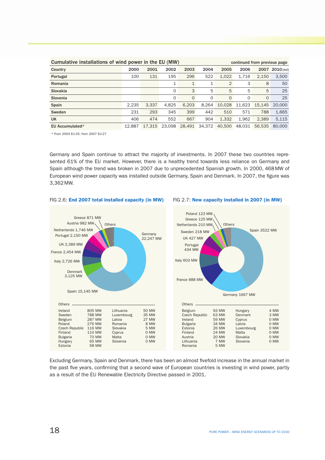| Cumulative installations of wind power in the EU (MW)<br>continued from previous page |        |        |          |              |             |         |        |         |                 |  |  |
|---------------------------------------------------------------------------------------|--------|--------|----------|--------------|-------------|---------|--------|---------|-----------------|--|--|
| Country                                                                               | 2000   | 2001   | 2002     | 2003         | 2004        | 2005    | 2006   |         | 2007 2010 (est) |  |  |
| Portugal                                                                              | 100    | 131    | 195      | 296          | 522         | 1.022   | 1.716  | 2.150   | 3,500           |  |  |
| Romania                                                                               |        |        | 1        | $\mathbf{1}$ | $\mathbf 1$ | 2       | 3      | 8       | 50              |  |  |
| Slovakia                                                                              |        |        | 0        | 3            | 5           | 5       | 5      | 5       | 25              |  |  |
| Slovenia                                                                              |        |        | $\Omega$ | $\Omega$     | $\Omega$    | $\circ$ | 0      | $\circ$ | 25              |  |  |
| Spain                                                                                 | 2,235  | 3.337  | 4,825    | 6,203        | 8.264       | 10,028  | 11,623 | 15.145  | 20,000          |  |  |
| Sweden                                                                                | 231    | 293    | 345      | 399          | 442         | 510     | 571    | 788     | 1,665           |  |  |
| UK                                                                                    | 406    | 474    | 552      | 667          | 904         | 1.332   | 1.962  | 2.389   | 5,115           |  |  |
| EU Accumulated*                                                                       | 12.887 | 17.315 | 23.098   | 28.491       | 34,372      | 40,500  | 48.031 | 56.535  | 80,000          |  |  |

\* From 2004 EU-25; from 2007 EU-27

Germany and Spain continue to attract the majority of investments. In 2007 these two countries represented 61% of the EU market. However, there is a healthy trend towards less reliance on Germany and Spain although the trend was broken in 2007 due to unprecedented Spanish growth. In 2000, 468 MW of European wind power capacity was installed outside Germany, Spain and Denmark. In 2007, the figure was 3,362 MW.





FIG 2.6: **End 2007 total installed capacity (in MW)** FIG 2.7: **New capacity installed in 2007 (in MW)**



Excluding Germany, Spain and Denmark, there has been an almost fivefold increase in the annual market in the past five years, confirming that a second wave of European countries is investing in wind power, partly as a result of the EU Renewable Electricity Directive passed in 2001.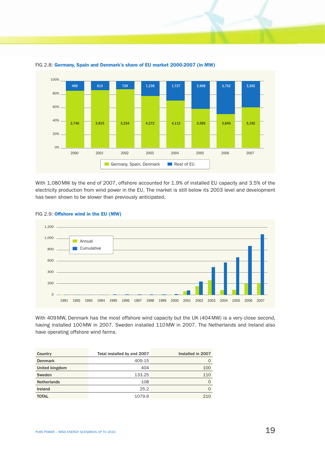

FIG 2.8: **Germany, Spain and Denmark's share of EU market 2000-2007 (in MW)**

With 1,080 MW by the end of 2007, offshore accounted for 1.9% of installed EU capacity and 3.5% of the electricity production from wind power in the EU. The market is still below its 2003 level and development has been shown to be slower than previously anticipated.



#### FIG 2.9: **Offshore wind in the EU (MW)**

With 409 MW, Denmark has the most offshore wind capacity but the UK (404 MW) is a very close second, having installed 100 MW in 2007. Sweden installed 110 MW in 2007. The Netherlands and Ireland also have operating offshore wind farms.

| Country            | Total installed by end 2007 | Installed in 2007 |
|--------------------|-----------------------------|-------------------|
| <b>Denmark</b>     | 409.15                      | $\Omega$          |
| United kingdom     | 404                         | 100               |
| Sweden             | 133.25                      | 110               |
| <b>Netherlands</b> | 108                         | $\Omega$          |
| <b>Ireland</b>     | 25.2                        | $\Omega$          |
| <b>TOTAL</b>       | 1079.6                      | 210               |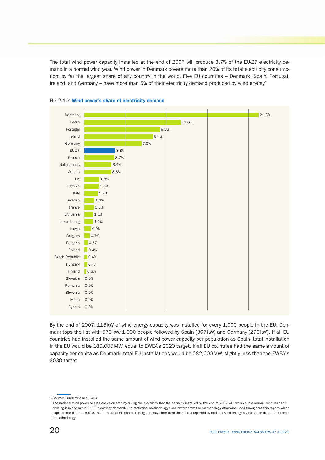The total wind power capacity installed at the end of 2007 will produce 3.7% of the EU-27 electricity demand in a normal wind year. Wind power in Denmark covers more than 20% of its total electricity consumption, by far the largest share of any country in the world. Five EU countries – Denmark, Spain, Portugal, Ireland, and Germany – have more than 5% of their electricity demand produced by wind energy<sup>8.</sup>





By the end of 2007, 116 kW of wind energy capacity was installed for every 1,000 people in the EU. Denmark tops the list with 579 kW/1,000 people followed by Spain (367 kW) and Germany (270 kW). If all EU countries had installed the same amount of wind power capacity per population as Spain, total installation in the EU would be 180,000 MW, equal to EWEA's 2020 target. If all EU countries had the same amount of capacity per capita as Denmark, total EU installations would be 282,000 MW, slightly less than the EWEA's 2030 target.

<sup>8</sup> Source: Eurelectric and EWEA

The national wind power shares are calculated by taking the electricity that the capacity installed by the end of 2007 will produce in a normal wind year and dividing it by the actual 2006 electricity demand. The statistical methodology used differs from the methodology otherwise used throughout this report, which explains the difference of 0.1% for the total EU share. The figures may differ from the shares reported by national wind energy associations due to difference in methodology.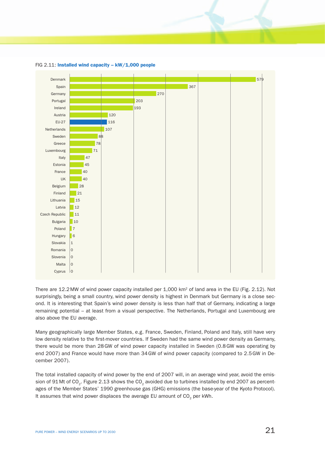

FIG 2.11: **Installed wind capacity – kW/1,000 people**

There are 12.2 MW of wind power capacity installed per 1,000 km<sup>2</sup> of land area in the EU (Fig. 2.12). Not surprisingly, being a small country, wind power density is highest in Denmark but Germany is a close second. It is interesting that Spain's wind power density is less than half that of Germany, indicating a large remaining potential – at least from a visual perspective. The Netherlands, Portugal and Luxembourg are also above the EU average.

Many geographically large Member States, e.g. France, Sweden, Finland, Poland and Italy, still have very low density relative to the first-mover countries. If Sweden had the same wind power density as Germany, there would be more than 28 GW of wind power capacity installed in Sweden (0.8 GW was operating by end 2007) and France would have more than 34 GW of wind power capacity (compared to 2.5 GW in December 2007).

The total installed capacity of wind power by the end of 2007 will, in an average wind year, avoid the emission of 91 Mt of CO<sub>2</sub>. Figure 2.13 shows the CO<sub>2</sub> avoided due to turbines installed by end 2007 as percentages of the Member States' 1990 greenhouse gas (GHG) emissions (the base-year of the Kyoto Protocol). It assumes that wind power displaces the average EU amount of CO<sub>2</sub> per kWh.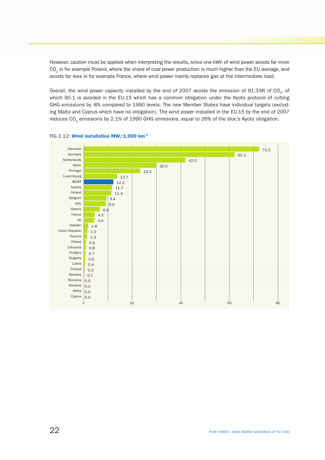However, caution must be applied when interpreting the results, since one kWh of wind power avoids far more CO<sub>2</sub> in for example Poland, where the share of coal power production is much higher than the EU average, and avoids far less in for example France, where wind power mainly replaces gas at the intermediate load.

Overall, the wind power capacity installed by the end of 2007 avoids the emission of 91.3 Mt of  $CO<sub>2</sub>$ , of which 90.1 is avoided in the EU-15 which has a common obligation under the Kyoto protocol of cutting GHG emissions by -8% compared to 1990 levels. The new Member States have individual targets (excluding Malta and Cyprus which have no obligation). The wind power installed in the EU-15 by the end of 2007 reduces CO<sub>2</sub> emissions by 2.1% of 1990 GHG emissions, equal to 26% of the bloc's Kyoto obligation.



FIG 2.12: **Wind installation MW/1,000 km 2**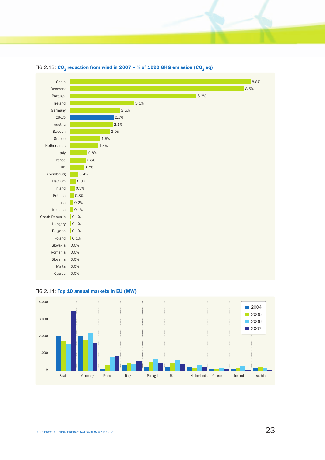



FIG 2.14: **Top 10 annual markets in EU (MW)**

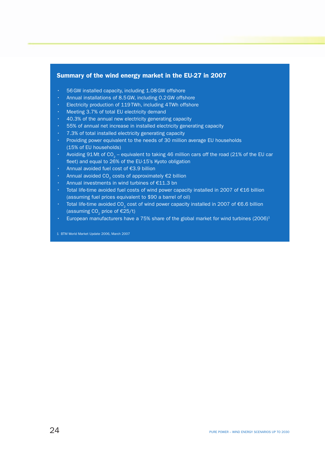### **Summary of the wind energy market in the EU-27 in 2007**

- 56GW installed capacity, including 1.08GW offshore
- Annual installations of 8.5GW, including 0.2GW offshore
- Electricity production of 119TWh, including 4TWh offshore
- Meeting 3.7% of total EU electricity demand
- 40.3% of the annual new electricity generating capacity
- 55% of annual net increase in installed electricity generating capacity
- 7.3% of total installed electricity generating capacity
- Providing power equivalent to the needs of 30 million average EU households (15% of EU households)
- Avoiding 91 Mt of  $CO<sub>2</sub>$  equivalent to taking 46 million cars off the road (21% of the EU car fleet) and equal to 26% of the EU-15's Kyoto obligation
- Annual avoided fuel cost of €3.9 billion
- Annual avoided CO<sub>2</sub> costs of approximately  $E$ 2 billion
- Annual investments in wind turbines of €11.3 bn
- Total life-time avoided fuel costs of wind power capacity installed in 2007 of €16 billion (assuming fuel prices equivalent to \$90 a barrel of oil)
- Total life-time avoided  $CO<sub>2</sub>$  cost of wind power capacity installed in 2007 of €6.6 billion (assuming  $CO<sub>2</sub>$  price of  $£25/t)$
- European manufacturers have a 75% share of the global market for wind turbines  $(2006)^1$

1 BTM World Market Update 2006, March 2007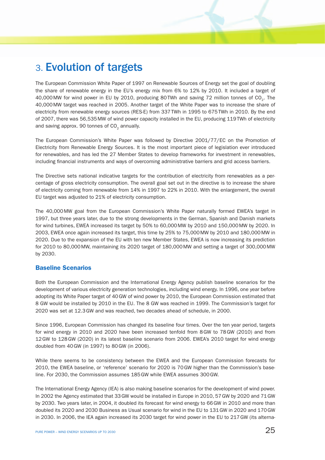# 3. Evolution of targets

The European Commission White Paper of 1997 on Renewable Sources of Energy set the goal of doubling the share of renewable energy in the EU's energy mix from 6% to 12% by 2010. It included a target of 40,000 MW for wind power in EU by 2010, producing 80 TWh and saving 72 million tonnes of CO<sub>2</sub>. The 40,000 MW target was reached in 2005. Another target of the White Paper was to increase the share of electricity from renewable energy sources (RES-E) from 337 TWh in 1995 to 675 TWh in 2010. By the end of 2007, there was 56,535 MW of wind power capacity installed in the EU, producing 119 TWh of electricity and saving approx. 90 tonnes of CO<sub>2</sub> annually.

The European Commission's White Paper was followed by Directive 2001/77/EC on the Promotion of Electricity from Renewable Energy Sources. It is the most important piece of legislation ever introduced for renewables, and has led the 27 Member States to develop frameworks for investment in renewables, including financial instruments and ways of overcoming administrative barriers and grid access barriers.

The Directive sets national indicative targets for the contribution of electricity from renewables as a percentage of gross electricity consumption. The overall goal set out in the directive is to increase the share of electricity coming from renewable from 14% in 1997 to 22% in 2010. With the enlargement, the overall EU target was adjusted to 21% of electricity consumption.

The 40,000 MW goal from the European Commission's White Paper naturally formed EWEA's target in 1997, but three years later, due to the strong developments in the German, Spanish and Danish markets for wind turbines, EWEA increased its target by 50% to 60,000 MW by 2010 and 150,000 MW by 2020. In 2003, EWEA once again increased its target, this time by 25% to 75,000 MW by 2010 and 180,000 MW in 2020. Due to the expansion of the EU with ten new Member States, EWEA is now increasing its prediction for 2010 to 80,000 MW, maintaining its 2020 target of 180,000 MW and setting a target of 300,000 MW by 2030.

### **Baseline Scenarios**

Both the European Commission and the International Energy Agency publish baseline scenarios for the development of various electricity generation technologies, including wind energy. In 1996, one year before adopting its White Paper target of 40 GW of wind power by 2010, the European Commission estimated that 8 GW would be installed by 2010 in the EU. The 8 GW was reached in 1999. The Commission's target for 2020 was set at 12.3 GW and was reached, two decades ahead of schedule, in 2000.

Since 1996, European Commission has changed its baseline four times. Over the ten year period, targets for wind energy in 2010 and 2020 have been increased tenfold from 8 GW to 78 GW (2010) and from 12 GW to 128 GW (2020) in its latest baseline scenario from 2006. EWEA's 2010 target for wind energy doubled from 40 GW (in 1997) to 80 GW (in 2006).

While there seems to be consistency between the EWEA and the European Commission forecasts for 2010, the EWEA baseline, or 'reference' scenario for 2020 is 70 GW higher than the Commission's baseline. For 2030, the Commission assumes 185 GW while EWEA assumes 300 GW.

The International Energy Agency (IEA) is also making baseline scenarios for the development of wind power. In 2002 the Agency estimated that 33 GW would be installed in Europe in 2010, 57 GW by 2020 and 71 GW by 2030. Two years later, in 2004, it doubled its forecast for wind energy to 66 GW in 2010 and more than doubled its 2020 and 2030 Business as Usual scenario for wind in the EU to 131 GW in 2020 and 170 GW in 2030. In 2006, the IEA again increased its 2030 target for wind power in the EU to 217 GW (its alterna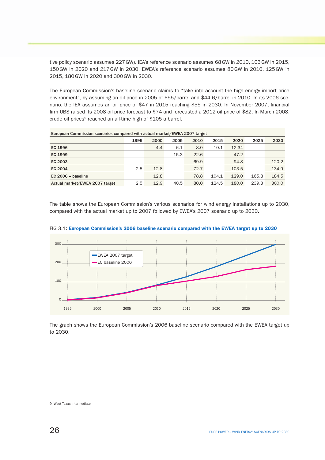tive policy scenario assumes 227 GW). IEA's reference scenario assumes 68 GW in 2010, 106 GW in 2015, 150 GW in 2020 and 217 GW in 2030. EWEA's reference scenario assumes 80 GW in 2010, 125 GW in 2015, 180 GW in 2020 and 300 GW in 2030.

The European Commission's baseline scenario claims to "take into account the high energy import price environment", by assuming an oil price in 2005 of \$55/barrel and \$44.6/barrel in 2010. In its 2006 scenario, the IEA assumes an oil price of \$47 in 2015 reaching \$55 in 2030. In November 2007, financial firm UBS raised its 2008 oil price forecast to \$74 and forecasted a 2012 oil price of \$82. In March 2008, crude oil prices<sup>9</sup> reached an all-time high of \$105 a barrel.

| European Commission scenarios compared with actual market/EWEA 2007 target |      |      |      |      |       |       |       |       |  |  |
|----------------------------------------------------------------------------|------|------|------|------|-------|-------|-------|-------|--|--|
|                                                                            | 1995 | 2000 | 2005 | 2010 | 2015  | 2020  | 2025  | 2030  |  |  |
| EC 1996                                                                    |      | 4.4  | 6.1  | 8.0  | 10.1  | 12.34 |       |       |  |  |
| EC 1999                                                                    |      |      | 15.3 | 22.6 |       | 47.2  |       |       |  |  |
| EC 2003                                                                    |      |      |      | 69.9 |       | 94.8  |       | 120.2 |  |  |
| EC 2004                                                                    | 2.5  | 12.8 |      | 72.7 |       | 103.5 |       | 134.9 |  |  |
| $EC 2006 - baseline$                                                       |      | 12.8 |      | 78.8 | 104.1 | 129.0 | 165.8 | 184.5 |  |  |
| Actual market/EWEA 2007 target                                             | 2.5  | 12.9 | 40.5 | 80.0 | 124.5 | 180.0 | 239.3 | 300.0 |  |  |

The table shows the European Commission's various scenarios for wind energy installations up to 2030, compared with the actual market up to 2007 followed by EWEA's 2007 scenario up to 2030.





The graph shows the European Commission's 2006 baseline scenario compared with the EWEA target up to 2030.

<sup>9</sup> West Texas Intermediate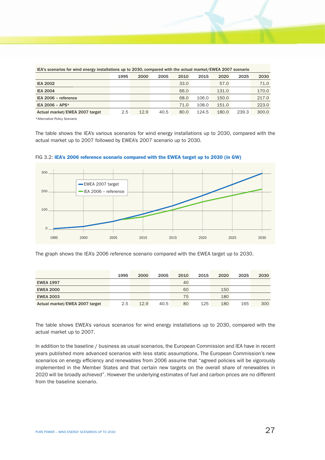| IEA's scenarios for wind energy installations up to 2030, compared with the actual market/EWEA 2007 scenario |      |      |      |      |       |       |       |       |  |  |  |
|--------------------------------------------------------------------------------------------------------------|------|------|------|------|-------|-------|-------|-------|--|--|--|
|                                                                                                              | 1995 | 2000 | 2005 | 2010 | 2015  | 2020  | 2025  | 2030  |  |  |  |
| <b>IEA 2002</b>                                                                                              |      |      |      | 33.0 |       | 57.0  |       | 71.0  |  |  |  |
| <b>IEA 2004</b>                                                                                              |      |      |      | 66.0 |       | 131.0 |       | 170.0 |  |  |  |
| IEA 2006 - reference                                                                                         |      |      |      | 68.0 | 106.0 | 150.0 |       | 217.0 |  |  |  |
| IEA 2006 - APS*                                                                                              |      |      |      | 71.0 | 108.0 | 151.0 |       | 223.0 |  |  |  |
| Actual market/EWEA 2007 target                                                                               | 2.5  | 12.9 | 40.5 | 80.0 | 124.5 | 180.0 | 239.3 | 300.0 |  |  |  |

IEA's scenarios for wind energy installations up to 2030, compared with the actual market/EWEA 2007 scenario

\*Alternative Policy Scenario

The table shows the IEA's various scenarios for wind energy installations up to 2030, compared with the actual market up to 2007 followed by EWEA's 2007 scenario up to 2030.



FIG 3.2: **IEA's 2006 reference scenario compared with the EWEA target up to 2030 (in GW)**

The graph shows the IEA's 2006 reference scenario compared with the EWEA target up to 2030.

|                                | 1995 | 2000 | 2005 | 2010 | 2015 | 2020 | 2025 | 2030 |
|--------------------------------|------|------|------|------|------|------|------|------|
| <b>EWEA 1997</b>               |      |      |      | 40   |      |      |      |      |
| <b>EWEA 2000</b>               |      |      |      | 60   |      | 150  |      |      |
| <b>EWEA 2003</b>               |      |      |      | 75   |      | 180  |      |      |
| Actual market/EWEA 2007 target | 2.5  | 12.9 | 40.5 | 80   | 125  | 180  | 165  | 300  |

The table shows EWEA's various scenarios for wind energy installations up to 2030, compared with the actual market up to 2007.

In addition to the baseline / business as usual scenarios, the European Commission and IEA have in recent years published more advanced scenarios with less static assumptions. The European Commission's new scenarios on energy efficiency and renewables from 2006 assume that "agreed policies will be vigorously implemented in the Member States and that certain new targets on the overall share of renewables in 2020 will be broadly achieved". However the underlying estimates of fuel and carbon prices are no different from the baseline scenario.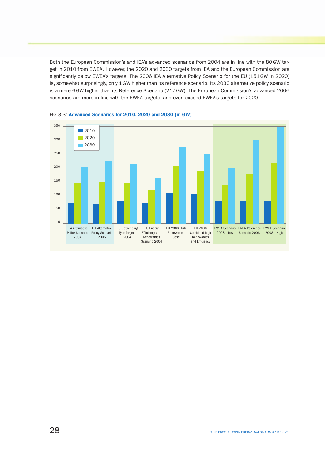Both the European Commission's and IEA's advanced scenarios from 2004 are in line with the 80 GW target in 2010 from EWEA. However, the 2020 and 2030 targets from IEA and the European Commission are significantly below EWEA's targets. The 2006 IEA Alternative Policy Scenario for the EU (151 GW in 2020) is, somewhat surprisingly, only 1 GW higher than its reference scenario. Its 2030 alternative policy scenario is a mere 6 GW higher than its Reference Scenario (217 GW). The European Commission's advanced 2006 scenarios are more in line with the EWEA targets, and even exceed EWEA's targets for 2020.



FIG 3.3: **Advanced Scenarios for 2010, 2020 and 2030 (in GW)**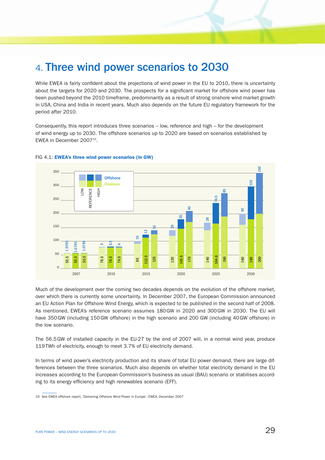# 4. Three wind power scenarios to 2030

While EWEA is fairly confident about the projections of wind power in the EU to 2010, there is uncertainty about the targets for 2020 and 2030. The prospects for a significant market for offshore wind power has been pushed beyond the 2010 timeframe, predominantly as a result of strong onshore wind market growth in USA, China and India in recent years. Much also depends on the future EU regulatory framework for the period after 2010.

Consequently, this report introduces three scenarios – low, reference and high – for the development of wind energy up to 2030. The offshore scenarios up to 2020 are based on scenarios established by EWEA in December 2007<sup>10</sup>.



#### FIG 4.1: **EWEA's three wind power scenarios (in GW)**

Much of the development over the coming two decades depends on the evolution of the offshore market, over which there is currently some uncertainty. In December 2007, the European Commission announced an EU Action Plan for Offshore Wind Energy, which is expected to be published in the second half of 2008. As mentioned, EWEA's reference scenario assumes 180 GW in 2020 and 300 GW in 2030. The EU will have 350 GW (including 150 GW offshore) in the high scenario and 200 GW (including 40 GW offshore) in the low scenario.

The 56.5 GW of installed capacity in the EU-27 by the end of 2007 will, in a normal wind year, produce 119 TWh of electricity, enough to meet 3.7% of EU electricity demand.

In terms of wind power's electricity production and its share of total EU power demand, there are large differences between the three scenarios. Much also depends on whether total electricity demand in the EU increases according to the European Commission's business as usual (BAU) scenario or stabilises according to its energy efficiency and high renewables scenario (EFF).

<sup>10</sup> See EWEA offshore report, 'Delivering Offshore Wind Power in Europe', EWEA, December 2007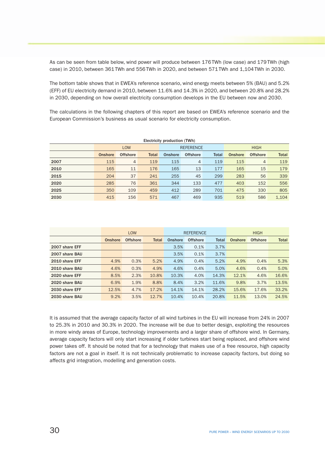As can be seen from table below, wind power will produce between 176 TWh (low case) and 179 TWh (high case) in 2010, between 361 TWh and 556 TWh in 2020, and between 571 TWh and 1,104 TWh in 2030.

The bottom table shows that in EWEA's reference scenario, wind energy meets between 5% (BAU) and 5.2% (EFF) of EU electricity demand in 2010, between 11.6% and 14.3% in 2020, and between 20.8% and 28.2% in 2030, depending on how overall electricity consumption develops in the EU between now and 2030.

The calculations in the following chapters of this report are based on EWEA's reference scenario and the European Commission's business as usual scenario for electricity consumption.

| Electricity production (TWh) |                |                 |              |         |                  |              |             |                 |              |  |  |  |
|------------------------------|----------------|-----------------|--------------|---------|------------------|--------------|-------------|-----------------|--------------|--|--|--|
|                              |                | <b>LOW</b>      |              |         | <b>REFERENCE</b> |              | <b>HIGH</b> |                 |              |  |  |  |
|                              | <b>Onshore</b> | <b>Offshore</b> | <b>Total</b> | Onshore | <b>Offshore</b>  | <b>Total</b> | Onshore     | <b>Offshore</b> | <b>Total</b> |  |  |  |
| 2007                         | 115            | $\overline{4}$  | 119          | 115     | $\overline{4}$   | 119          | 115         | 4               | 119          |  |  |  |
| 2010                         | 165            | 11              | 176          | 165     | 13               | 177          | 165         | 15              | 179          |  |  |  |
| 2015                         | 204            | 37              | 241          | 255     | 45               | 299          | 283         | 56              | 339          |  |  |  |
| 2020                         | 285            | 76              | 361          | 344     | 133              | 477          | 403         | 152             | 556          |  |  |  |
| 2025                         | 350            | 109             | 459          | 412     | 289              | 701          | 475         | 330             | 805          |  |  |  |
| 2030                         | 415            | 156             | 571          | 467     | 469              | 935          | 519         | 586             | 1,104        |  |  |  |

|                |                | <b>LOW</b>      |              |         | <b>REFERENCE</b> |              | <b>HIGH</b> |                 |              |
|----------------|----------------|-----------------|--------------|---------|------------------|--------------|-------------|-----------------|--------------|
|                | <b>Onshore</b> | <b>Offshore</b> | <b>Total</b> | Onshore | <b>Offshore</b>  | <b>Total</b> | Onshore     | <b>Offshore</b> | <b>Total</b> |
| 2007 share EFF |                |                 |              | 3.5%    | 0.1%             | 3.7%         |             |                 |              |
| 2007 share BAU |                |                 |              | 3.5%    | 0.1%             | 3.7%         |             |                 |              |
| 2010 share EFF | 4.9%           | 0.3%            | 5.2%         | 4.9%    | 0.4%             | 5.2%         | 4.9%        | 0.4%            | 5.3%         |
| 2010 share BAU | 4.6%           | 0.3%            | 4.9%         | 4.6%    | 0.4%             | 5.0%         | 4.6%        | 0.4%            | 5.0%         |
| 2020 share EFF | 8.5%           | 2.3%            | 10.8%        | 10.3%   | 4.0%             | 14.3%        | 12.1%       | 4.6%            | 16.6%        |
| 2020 share BAU | 6.9%           | 1.9%            | 8.8%         | 8.4%    | 3.2%             | 11.6%        | 9.8%        | 3.7%            | 13.5%        |
| 2030 share EFF | 12.5%          | 4.7%            | 17.2%        | 14.1%   | 14.1%            | 28.2%        | 15.6%       | 17.6%           | 33.2%        |
| 2030 share BAU | 9.2%           | 3.5%            | 12.7%        | 10.4%   | 10.4%            | 20.8%        | 11.5%       | 13.0%           | 24.5%        |

It is assumed that the average capacity factor of all wind turbines in the EU will increase from 24% in 2007 to 25.3% in 2010 and 30.3% in 2020. The increase will be due to better design, exploiting the resources in more windy areas of Europe, technology improvements and a larger share of offshore wind. In Germany, average capacity factors will only start increasing if older turbines start being replaced, and offshore wind power takes off. It should be noted that for a technology that makes use of a free resource, high capacity factors are not a goal in itself. It is not technically problematic to increase capacity factors, but doing so affects grid integration, modelling and generation costs.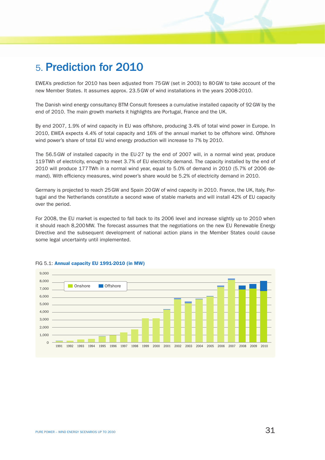# 5. Prediction for 2010

EWEA's prediction for 2010 has been adjusted from 75 GW (set in 2003) to 80 GW to take account of the new Member States. It assumes approx. 23.5 GW of wind installations in the years 2008-2010.

The Danish wind energy consultancy BTM Consult foresees a cumulative installed capacity of 92 GW by the end of 2010. The main growth markets it highlights are Portugal, France and the UK.

By end 2007, 1.9% of wind capacity in EU was offshore, producing 3.4% of total wind power in Europe. In 2010, EWEA expects 4.4% of total capacity and 16% of the annual market to be offshore wind. Offshore wind power's share of total EU wind energy production will increase to 7% by 2010.

The 56.5 GW of installed capacity in the EU-27 by the end of 2007 will, in a normal wind year, produce 119 TWh of electricity, enough to meet 3.7% of EU electricity demand. The capacity installed by the end of 2010 will produce 177 TWh in a normal wind year, equal to 5.0% of demand in 2010 (5.7% of 2006 demand). With efficiency measures, wind power's share would be 5.2% of electricity demand in 2010.

Germany is projected to reach 25 GW and Spain 20 GW of wind capacity in 2010. France, the UK, Italy, Portugal and the Netherlands constitute a second wave of stable markets and will install 42% of EU capacity over the period.

For 2008, the EU market is expected to fall back to its 2006 level and increase slightly up to 2010 when it should reach 8,200 MW. The forecast assumes that the negotiations on the new EU Renewable Energy Directive and the subsequent development of national action plans in the Member States could cause some legal uncertainty until implemented.



#### FIG 5.1: **Annual capacity EU 1991-2010 (in MW)**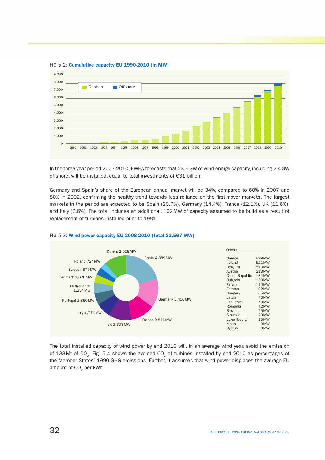

FIG 5.2: **Cumulative capacity EU 1990-2010 (in MW)**

In the three-year period 2007-2010, EWEA forecasts that 23.5 GW of wind energy capacity, including 2.4 GW offshore, will be installed, equal to total investments of €31 billion.

Germany and Spain's share of the European annual market will be 34%, compared to 60% in 2007 and 80% in 2002, confirming the healthy trend towards less reliance on the first-mover markets. The largest markets in the period are expected to be Spain (20.7%), Germany (14.4%), France (12.1%), UK (11.6%), and Italy (7.6%). The total includes an additional, 102 MW of capacity assumed to be build as a result of replacement of turbines installed prior to 1991.



#### FIG 5.3: **Wind power capacity EU 2008-2010 (total 23,567 MW)**

The total installed capacity of wind power by end 2010 will, in an average wind year, avoid the emission of 133 Mt of CO<sub>2</sub>. Fig. 5.4 shows the avoided CO<sub>2</sub> of turbines installed by end 2010 as percentages of the Member States' 1990 GHG emissions. Further, it assumes that wind power displaces the average EU amount of CO<sub>2</sub> per kWh.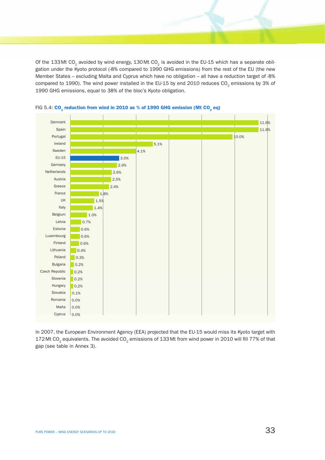Of the 133 Mt CO<sub>2</sub> avoided by wind energy, 130 Mt CO<sub>2</sub> is avoided in the EU-15 which has a separate obligation under the Kyoto protocol (-8% compared to 1990 GHG emissions) from the rest of the EU (the new Member States – excluding Malta and Cyprus which have no obligation – all have a reduction target of -8% compared to 1990). The wind power installed in the EU-15 by end 2010 reduces CO<sub>2</sub> emissions by 3% of 1990 GHG emissions, equal to 38% of the bloc's Kyoto obligation.





In 2007, the European Environment Agency (EEA) projected that the EU-15 would miss its Kyoto target with 172 Mt CO<sub>2</sub> equivalents. The avoided CO<sub>2</sub> emissions of 133 Mt from wind power in 2010 will fill 77% of that gap (see table in Annex 3).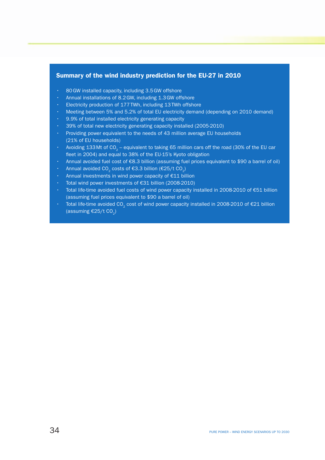### **Summary of the wind industry prediction for the EU-27 in 2010**

- 80GW installed capacity, including 3.5GW offshore
- Annual installations of 8.2GW, including 1.3GW offshore
- Electricity production of 177TWh, including 13TWh offshore
- Meeting between 5% and 5.2% of total EU electricity demand (depending on 2010 demand)
- 9.9% of total installed electricity generating capacity
- 39% of total new electricity generating capacity installed (2005-2010)
- Providing power equivalent to the needs of 43 million average EU households (21% of EU households)
- Avoiding 133 Mt of  $CO<sub>2</sub>$  equivalent to taking 65 million cars off the road (30% of the EU car fleet in 2004) and equal to 38% of the EU-15's Kyoto obligation
- Annual avoided fuel cost of €8.3 billion (assuming fuel prices equivalent to \$90 a barrel of oil)
- Annual avoided CO<sub>2</sub> costs of  $63.3$  billion ( $625/t$  CO<sub>2</sub>)
- Annual investments in wind power capacity of €11 billion
- Total wind power investments of €31 billion (2008-2010)
- Total life-time avoided fuel costs of wind power capacity installed in 2008-2010 of €51 billion (assuming fuel prices equivalent to \$90 a barrel of oil)
- Total life-time avoided CO<sub>2</sub> cost of wind power capacity installed in 2008-2010 of €21 billion (assuming  $E25/t CO<sub>2</sub>$ )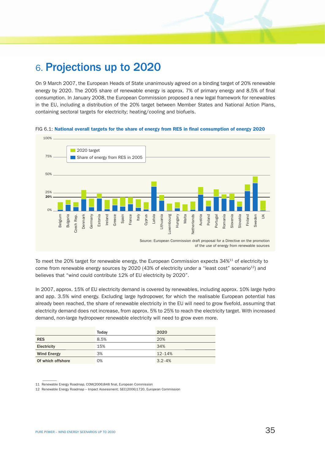## 6. Projections up to 2020

On 9 March 2007, the European Heads of State unanimously agreed on a binding target of 20% renewable energy by 2020. The 2005 share of renewable energy is approx. 7% of primary energy and 8.5% of final consumption. In January 2008, the European Commission proposed a new legal framework for renewables in the EU, including a distribution of the 20% target between Member States and National Action Plans, containing sectoral targets for electricity; heating/cooling and biofuels.



FIG 6.1: National overall targets for the share of energy from RES in final consumption of energy 2020

To meet the 20% target for renewable energy, the European Commission expects 34%<sup>11</sup> of electricity to come from renewable energy sources by 2020 (43% of electricity under a "least cost" scenario<sup>12</sup>) and believes that "wind could contribute 12% of EU electricity by 2020".

In 2007, approx. 15% of EU electricity demand is covered by renewables, including approx. 10% large hydro and app. 3.5% wind energy. Excluding large hydropower, for which the realisable European potential has already been reached, the share of renewable electricity in the EU will need to grow fivefold, assuming that electricity demand does not increase, from approx. 5% to 25% to reach the electricity target. With increased demand, non-large hydropower renewable electricity will need to grow even more.

|                    | Today | 2020       |
|--------------------|-------|------------|
| <b>RES</b>         | 8.5%  | 20%        |
| Electricity        | 15%   | 34%        |
| <b>Wind Energy</b> | 3%    | $12 - 14%$ |
| Of which offshore  | 0%    | $3.2 - 4%$ |

11 Renewable Energy Roadmap, COM(2006)848 final, European Commission

12 Renewable Energy Roadmap – Impact Assessment; SEC(2006)1720, European Commission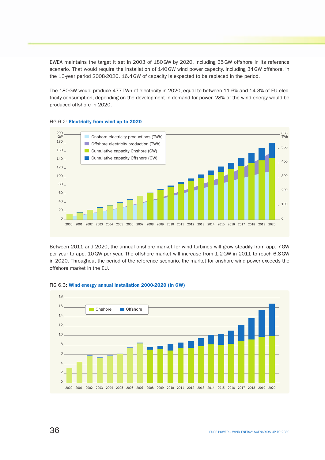EWEA maintains the target it set in 2003 of 180 GW by 2020, including 35 GW offshore in its reference scenario. That would require the installation of 140 GW wind power capacity, including 34 GW offshore, in the 13-year period 2008-2020. 16.4 GW of capacity is expected to be replaced in the period.

The 180 GW would produce 477 TWh of electricity in 2020, equal to between 11.6% and 14.3% of EU electricity consumption, depending on the development in demand for power. 28% of the wind energy would be produced offshore in 2020.





Between 2011 and 2020, the annual onshore market for wind turbines will grow steadily from app. 7 GW per year to app. 10 GW per year. The offshore market will increase from 1.2 GW in 2011 to reach 6.8 GW in 2020. Throughout the period of the reference scenario, the market for onshore wind power exceeds the offshore market in the EU.



FIG 6.3: **Wind energy annual installation 2000-2020 (in GW)**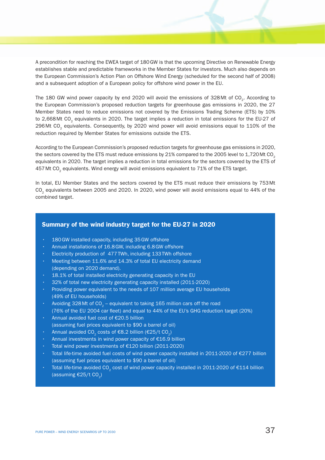A precondition for reaching the EWEA target of 180 GW is that the upcoming Directive on Renewable Energy establishes stable and predictable frameworks in the Member States for investors. Much also depends on the European Commission's Action Plan on Offshore Wind Energy (scheduled for the second half of 2008) and a subsequent adoption of a European policy for offshore wind power in the EU.

The 180 GW wind power capacity by end 2020 will avoid the emissions of 328 Mt of CO<sub>2</sub>. According to the European Commission's proposed reduction targets for greenhouse gas emissions in 2020, the 27 Member States need to reduce emissions not covered by the Emissions Trading Scheme (ETS) by 10% to 2,668 Mt CO<sub>2</sub> equivalents in 2020. The target implies a reduction in total emissions for the EU-27 of 296 Mt CO<sub>2</sub> equivalents. Consequently, by 2020 wind power will avoid emissions equal to 110% of the reduction required by Member States for emissions outside the ETS.

According to the European Commission's proposed reduction targets for greenhouse gas emissions in 2020, the sectors covered by the ETS must reduce emissions by 21% compared to the 2005 level to 1,720 Mt CO<sub>2</sub> equivalents in 2020. The target implies a reduction in total emissions for the sectors covered by the ETS of 457 Mt CO<sub>2</sub> equivalents. Wind energy will avoid emissions equivalent to 71% of the ETS target.

In total, EU Member States and the sectors covered by the ETS must reduce their emissions by 753 Mt CO2 equivalents between 2005 and 2020. In 2020, wind power will avoid emissions equal to 44% of the combined target.

### **Summary of the wind industry target for the EU-27 in 2020**

- 180 GW installed capacity, including 35 GW offshore
- Annual installations of 16.8GW, including 6.8GW offshore
- Electricity production of 477TWh, including 133TWh offshore
- Meeting between 11.6% and 14.3% of total EU electricity demand (depending on 2020 demand).
- 18.1% of total installed electricity generating capacity in the EU
- 32% of total new electricity generating capacity installed (2011-2020)
- Providing power equivalent to the needs of 107 million average EU households (49% of EU households)
- Avoiding 328Mt of  $CO<sub>2</sub> -$  equivalent to taking 165 million cars off the road  $(76\%$  of the EU 2004 car fleet) and equal to  $44\%$  of the EU's GHG reduction target  $(20\%)$
- Annual avoided fuel cost of €20.5 billion (assuming fuel prices equivalent to \$90 a barrel of oil)
- Annual avoided CO<sub>2</sub> costs of  $E$ 8.2 billion ( $E$ 25/t CO<sub>2</sub>)
- Annual investments in wind power capacity of  $£16.9$  billion
- Total wind power investments of €120 billion (2011-2020)
- Total life-time avoided fuel costs of wind power capacity installed in 2011-2020 of €277 billion (assuming fuel prices equivalent to \$90 a barrel of oil)
- Total life-time avoided CO<sub>2</sub> cost of wind power capacity installed in 2011-2020 of  $\epsilon$ 114 billion (assuming  $E25/t CO<sub>2</sub>$ )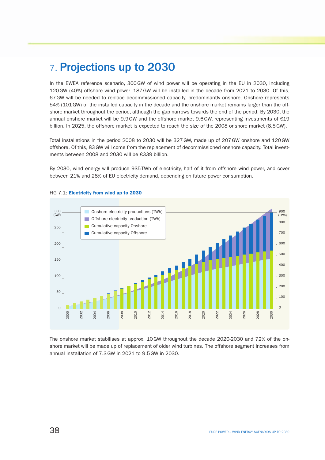# 7. Projections up to 2030

In the EWEA reference scenario, 300 GW of wind power will be operating in the EU in 2030, including 120 GW (40%) offshore wind power. 187 GW will be installed in the decade from 2021 to 2030. Of this, 67 GW will be needed to replace decommissioned capacity, predominantly onshore. Onshore represents 54% (101 GW) of the installed capacity in the decade and the onshore market remains larger than the offshore market throughout the period, although the gap narrows towards the end of the period. By 2030, the annual onshore market will be 9.9 GW and the offshore market 9.6 GW, representing investments of €19 billion. In 2025, the offshore market is expected to reach the size of the 2008 onshore market (8.5 GW).

Total installations in the period 2008 to 2030 will be 327 GW, made up of 207 GW onshore and 120 GW offshore. Of this, 83 GW will come from the replacement of decommissioned onshore capacity. Total investments between 2008 and 2030 will be €339 billion.

By 2030, wind energy will produce 935 TWh of electricity, half of it from offshore wind power, and cover between 21% and 28% of EU electricity demand, depending on future power consumption.



#### FIG 7.1: **Electricity from wind up to 2030**

The onshore market stabilises at approx. 10 GW throughout the decade 2020-2030 and 72% of the onshore market will be made up of replacement of older wind turbines. The offshore segment increases from annual installation of 7.3 GW in 2021 to 9.5 GW in 2030.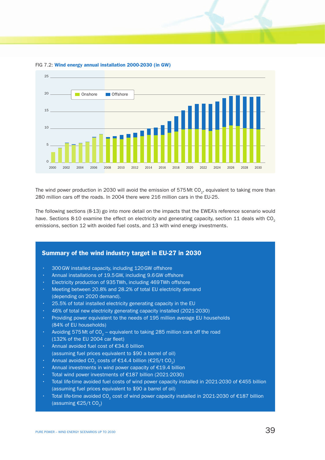

FIG 7.2: **Wind energy annual installation 2000-2030 (in GW)**

The wind power production in 2030 will avoid the emission of  $575$  Mt CO<sub>2</sub>, equivalent to taking more than 280 million cars off the roads. In 2004 there were 216 million cars in the EU-25.

The following sections (8-13) go into more detail on the impacts that the EWEA's reference scenario would have. Sections 8-10 examine the effect on electricity and generating capacity, section 11 deals with CO<sub>2</sub> emissions, section 12 with avoided fuel costs, and 13 with wind energy investments.

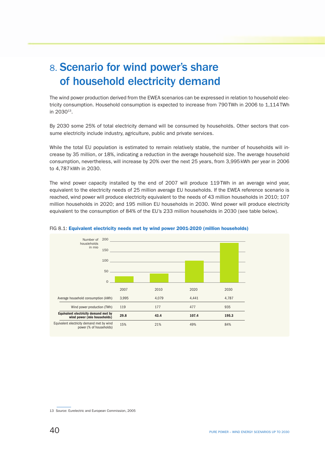# 8. Scenario for wind power's share of household electricity demand

The wind power production derived from the EWEA scenarios can be expressed in relation to household electricity consumption. Household consumption is expected to increase from 790 TWh in 2006 to 1,114 TWh in 203013.

By 2030 some 25% of total electricity demand will be consumed by households. Other sectors that consume electricity include industry, agriculture, public and private services.

While the total EU population is estimated to remain relatively stable, the number of households will increase by 35 million, or 18%, indicating a reduction in the average household size. The average household consumption, nevertheless, will increase by 20% over the next 25 years, from 3,995 kWh per year in 2006 to 4,787 kWh in 2030.

The wind power capacity installed by the end of 2007 will produce 119 TWh in an average wind year, equivalent to the electricity needs of 25 million average EU households. If the EWEA reference scenario is reached, wind power will produce electricity equivalent to the needs of 43 million households in 2010; 107 million households in 2020; and 195 million EU households in 2030. Wind power will produce electricity equivalent to the consumption of 84% of the EU's 233 million households in 2030 (see table below).



#### FIG 8.1: **Equivalent electricity needs met by wind power 2001-2020 (million households)**

<sup>13</sup> Source: Eurelectric and European Commission, 2005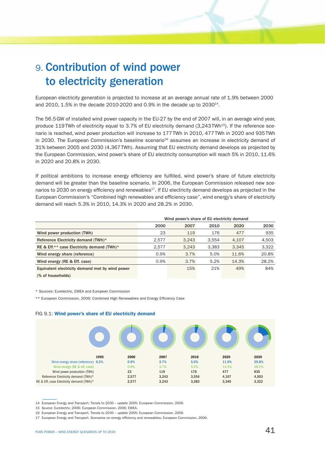# 9. Contribution of wind power to electricity generation

European electricity generation is projected to increase at an average annual rate of 1.9% between 2000 and 2010, 1.5% in the decade 2010-2020 and 0.9% in the decade up to 2030<sup>14</sup>.

The 56.5 GW of installed wind power capacity in the EU-27 by the end of 2007 will, in an average wind year, produce 119 TWh of electricity equal to 3.7% of EU electricity demand (3,243 TWh<sup>15</sup>). If the reference scenario is reached, wind power production will increase to 177 TWh in 2010, 477 TWh in 2020 and 935 TWh in 2030. The European Commission's baseline scenario<sup>16</sup> assumes an increase in electricity demand of 31% between 2005 and 2030 (4,367 TWh). Assuming that EU electricity demand develops as projected by the European Commission, wind power's share of EU electricity consumption will reach 5% in 2010, 11.6% in 2020 and 20.8% in 2030.

If political ambitions to increase energy efficiency are fulfilled, wind power's share of future electricity demand will be greater than the baseline scenario. In 2006, the European Commission released new scenarios to 2030 on energy efficiency and renewables<sup>17</sup>. If EU electricity demand develops as projected in the European Commission's "Combined high renewables and efficiency case", wind energy's share of electricity demand will reach 5.3% in 2010, 14.3% in 2020 and 28.2% in 2030.

|                                                 | Wind power's share of EU electricity demand |       |       |       |       |  |  |  |  |  |
|-------------------------------------------------|---------------------------------------------|-------|-------|-------|-------|--|--|--|--|--|
|                                                 | 2000                                        | 2007  | 2010  | 2020  | 2030  |  |  |  |  |  |
| Wind power production (TWh)                     | 23                                          | 119   | 176   | 477   | 935   |  |  |  |  |  |
| Reference Electricity demand (TWh)*             | 2.577                                       | 3,243 | 3.554 | 4.107 | 4,503 |  |  |  |  |  |
| RE & Eff.** case Electricity demand (TWh)*      | 2.577                                       | 3.243 | 3.383 | 3.345 | 3,322 |  |  |  |  |  |
| Wind energy share (reference)                   | 0.9%                                        | 3.7%  | 5.0%  | 11.6% | 20.8% |  |  |  |  |  |
| Wind energy (RE & Eff. case)                    | 0.9%                                        | 3.7%  | 5.2%  | 14.3% | 28.2% |  |  |  |  |  |
| Equivalent electricity demand met by wind power |                                             | 15%   | 21%   | 49%   | 84%   |  |  |  |  |  |
| (% of households)                               |                                             |       |       |       |       |  |  |  |  |  |

\* Sources: Eurelectric, EWEA and European Commission

\*\* European Commission, 2006: Combined High Renewables and Energy Efficiency Case

#### FIG 9.1: **Wind power's share of EU electricity demand**



<sup>14</sup> European Energy and Transport; Trends to 2030 – update 2005; European Commission, 2006.

<sup>15</sup> Source: Eurelectric, 2006; European Commission, 2006; EWEA.

<sup>16</sup> European Energy and Transport. Trends to 2030 – update 2005; European Commission, 2006.

<sup>17</sup> European Energy and Transport. Scenarios on energy efficiency and renewables; European Commission, 2006.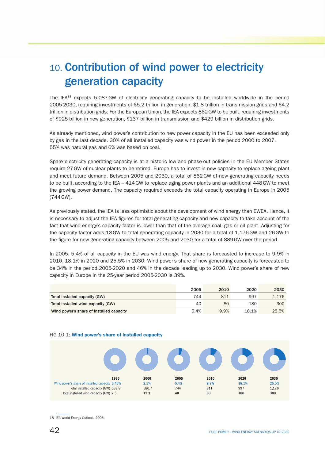# 10. Contribution of wind power to electricity generation capacity

The IEA<sup>18</sup> expects 5,087 GW of electricity generating capacity to be installed worldwide in the period 2005-2030, requiring investments of \$5.2 trillion in generation, \$1.8 trillion in transmission grids and \$4.2 trillion in distribution grids. For the European Union, the IEA expects 862 GW to be built, requiring investments of \$925 billion in new generation, \$137 billion in transmission and \$429 billion in distribution grids.

As already mentioned, wind power's contribution to new power capacity in the EU has been exceeded only by gas in the last decade. 30% of all installed capacity was wind power in the period 2000 to 2007. 55% was natural gas and 6% was based on coal.

Spare electricity generating capacity is at a historic low and phase-out policies in the EU Member States require 27 GW of nuclear plants to be retired. Europe has to invest in new capacity to replace ageing plant and meet future demand. Between 2005 and 2030, a total of 862 GW of new generating capacity needs to be built, according to the IEA – 414 GW to replace aging power plants and an additional 448 GW to meet the growing power demand. The capacity required exceeds the total capacity operating in Europe in 2005 (744 GW).

As previously stated, the IEA is less optimistic about the development of wind energy than EWEA. Hence, it is necessary to adjust the IEA figures for total generating capacity and new capacity to take account of the fact that wind energy's capacity factor is lower than that of the average coal, gas or oil plant. Adjusting for the capacity factor adds 18 GW to total generating capacity in 2030 for a total of 1,176 GW and 26 GW to the figure for new generating capacity between 2005 and 2030 for a total of 889 GW over the period.

In 2005, 5.4% of all capacity in the EU was wind energy. That share is forecasted to increase to 9.9% in 2010, 18.1% in 2020 and 25.5% in 2030. Wind power's share of new generating capacity is forecasted to be 34% in the period 2005-2020 and 46% in the decade leading up to 2030. Wind power's share of new capacity in Europe in the 25-year period 2005-2030 is 39%.

|                                          | 2005 | 2010 | 2020  | 2030  |
|------------------------------------------|------|------|-------|-------|
| Total installed capacity (GW)            | 744  | 811  | 997   | 1.176 |
| Total installed wind capacity (GW)       | 40   | 80   | 180   | 300   |
| Wind power's share of installed capacity | 5.4% | 9.9% | 18.1% | 25.5% |

#### FIG 10.1: **Wind power's share of installed capacity**



18 IEA World Energy Outlook, 2006.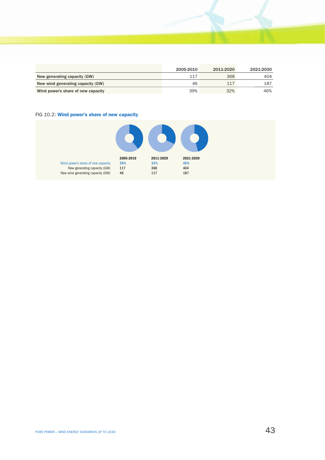|                                    | 2005-2010 | 2011-2020 | 2021-2030 |
|------------------------------------|-----------|-----------|-----------|
| New generating capacity (GW)       | 117       | 368       | 404       |
| New wind generating capacity (GW)  | 46        | 117       | 187       |
| Wind power's share of new capacity | 39%       | 32%       | 46%       |

### FIG 10.2: **Wind power's share of new capacity**

|                                    | 2005-2010 | 2011-2020 | 2021-2030 |
|------------------------------------|-----------|-----------|-----------|
| Wind power's share of new capacity | 39%       | 32%       | 46%       |
| New generating capacity (GW)       | 117       | 368       | 404       |
| New wind generating capacity (GW)  | 46        | 117       | 187       |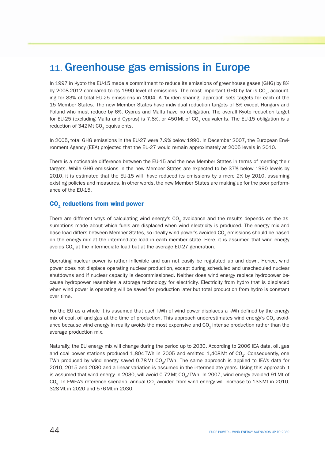# 11. Greenhouse gas emissions in Europe

In 1997 in Kyoto the EU-15 made a commitment to reduce its emissions of greenhouse gases (GHG) by 8% by 2008-2012 compared to its 1990 level of emissions. The most important GHG by far is CO<sub>2</sub>, accounting for 83% of total EU-25 emissions in 2004. A 'burden sharing' approach sets targets for each of the 15 Member States. The new Member States have individual reduction targets of 8% except Hungary and Poland who must reduce by 6%. Cyprus and Malta have no obligation. The overall Kyoto reduction target for EU-25 (excluding Malta and Cyprus) is 7.8%, or 450 Mt of CO<sub>2</sub> equivalents. The EU-15 obligation is a reduction of 342 Mt CO<sub>2</sub> equivalents.

In 2005, total GHG emissions in the EU-27 were 7.9% below 1990. In December 2007, the European Environment Agency (EEA) projected that the EU-27 would remain approximately at 2005 levels in 2010.

There is a noticeable difference between the EU-15 and the new Member States in terms of meeting their targets. While GHG emissions in the new Member States are expected to be 37% below 1990 levels by 2010, it is estimated that the EU-15 will have reduced its emissions by a mere 2% by 2010, assuming existing policies and measures. In other words, the new Member States are making up for the poor performance of the EU-15.

### **CO<sub>2</sub> reductions from wind power**

There are different ways of calculating wind energy's CO<sub>2</sub> avoidance and the results depends on the assumptions made about which fuels are displaced when wind electricity is produced. The energy mix and base load differs between Member States, so ideally wind power's avoided CO<sub>2</sub> emissions should be based on the energy mix at the intermediate load in each member state. Here, it is assumed that wind energy avoids  $CO<sub>2</sub>$  at the intermediate load but at the average EU-27 generation.

Operating nuclear power is rather inflexible and can not easily be regulated up and down. Hence, wind power does not displace operating nuclear production, except during scheduled and unscheduled nuclear shutdowns and if nuclear capacity is decommissioned. Neither does wind energy replace hydropower because hydropower resembles a storage technology for electricity. Electricity from hydro that is displaced when wind power is operating will be saved for production later but total production from hydro is constant over time.

For the EU as a whole it is assumed that each kWh of wind power displaces a kWh defined by the energy mix of coal, oil and gas at the time of production. This approach underestimates wind energy's CO<sub>2</sub> avoidance because wind energy in reality avoids the most expensive and  $CO<sub>2</sub>$  intense production rather than the average production mix.

Naturally, the EU energy mix will change during the period up to 2030. According to 2006 IEA data, oil, gas and coal power stations produced  $1,804$  TWh in 2005 and emitted  $1,408$  Mt of CO<sub>2</sub>. Consequently, one TWh produced by wind energy saved  $0.78$  Mt CO<sub>2</sub>/TWh. The same approach is applied to IEA's data for 2010, 2015 and 2030 and a linear variation is assumed in the intermediate years. Using this approach it is assumed that wind energy in 2030, will avoid 0.72 Mt CO<sub>2</sub>/TWh. In 2007, wind energy avoided 91 Mt of CO<sub>2</sub>. In EWEA's reference scenario, annual CO<sub>2</sub> avoided from wind energy will increase to 133 Mt in 2010, 328 Mt in 2020 and 576 Mt in 2030.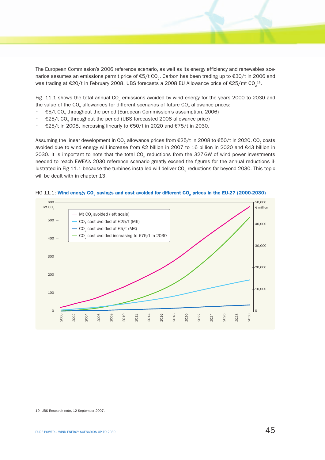The European Commission's 2006 reference scenario, as well as its energy efficiency and renewables scenarios assumes an emissions permit price of €5/t CO<sub>2</sub>. Carbon has been trading up to €30/t in 2006 and was trading at €20/t in February 2008. UBS forecasts a 2008 EU Allowance price of €25/mt CO<sub>2</sub><sup>19</sup>.

Fig. 11.1 shows the total annual  $CO<sub>2</sub>$  emissions avoided by wind energy for the years 2000 to 2030 and the value of the CO<sub>2</sub> allowances for different scenarios of future CO<sub>2</sub> allowance prices:

- €5/t CO<sub>2</sub> throughout the period (European Commission's assumption, 2006)
- €25/t CO2 throughout the period (UBS forecasted 2008 allowance price)
- €25/t in 2008, increasing linearly to €50/t in 2020 and €75/t in 2030.

Assuming the linear development in CO<sub>2</sub> allowance prices from  $£25/t$  in 2008 to  $£50/t$  in 2020, CO<sub>2</sub> costs avoided due to wind energy will increase from €2 billion in 2007 to 16 billion in 2020 and €43 billion in 2030. It is important to note that the total CO<sub>2</sub> reductions from the 327 GW of wind power investments needed to reach EWEA's 2030 reference scenario greatly exceed the figures for the annual reductions illustrated in Fig 11.1 because the turbines installed will deliver CO<sub>2</sub> reductions far beyond 2030. This topic will be dealt with in chapter 13.



#### FIG 11.1: Wind energy CO<sub>2</sub> savings and cost avoided for different CO<sub>2</sub> prices in the EU-27 (2000-2030)

<sup>19</sup> UBS Research note, 12 September 2007.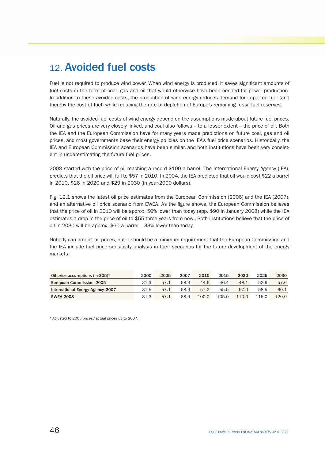### 12. Avoided fuel costs

Fuel is not required to produce wind power. When wind energy is produced, it saves significant amounts of fuel costs in the form of coal, gas and oil that would otherwise have been needed for power production. In addition to these avoided costs, the production of wind energy reduces demand for imported fuel (and thereby the cost of fuel) while reducing the rate of depletion of Europe's remaining fossil fuel reserves.

Naturally, the avoided fuel costs of wind energy depend on the assumptions made about future fuel prices. Oil and gas prices are very closely linked, and coal also follows – to a lesser extent – the price of oil. Both the IEA and the European Commission have for many years made predictions on future coal, gas and oil prices, and most governments base their energy policies on the IEA's fuel price scenarios. Historically, the IEA and European Commission scenarios have been similar, and both institutions have been very consistent in underestimating the future fuel prices.

2008 started with the price of oil reaching a record \$100 a barrel. The International Energy Agency (IEA), predicts that the oil price will fall to \$57 in 2010. In 2004, the IEA predicted that oil would cost \$22 a barrel in 2010, \$26 in 2020 and \$29 in 2030 (in year-2000 dollars).

Fig. 12.1 shows the latest oil price estimates from the European Commission (2006) and the IEA (2007), and an alternative oil price scenario from EWEA. As the figure shows, the European Commission believes that the price of oil in 2010 will be approx. 50% lower than today (app. \$90 in January 2008) while the IEA estimates a drop in the price of oil to \$55 three years from now., Both institutions believe that the price of oil in 2030 will be approx. \$60 a barrel – 33% lower than today.

Nobody can predict oil prices, but it should be a minimum requirement that the European Commission and the IEA include fuel price sensitivity analysis in their scenarios for the future development of the energy markets.

| Oil price assumptions (in $$05$ )* | 2000 | 2005 | 2007 | 2010  | 2015  | 2020  | 2025  | 2030  |
|------------------------------------|------|------|------|-------|-------|-------|-------|-------|
| European Commission, 2005          | 31.3 | 57.1 | 68.9 | 44.6  | 46.4  | 48.1  | 52.9  | 57.6  |
| International Energy Agency, 2007  | 31.5 | 57.1 | 68.9 | 57.2  | 55.5  | 57.0  | 58.5  | 60.1  |
| <b>EWEA 2008</b>                   | 31.3 | 57.1 | 68.9 | 100.0 | 105.0 | 110.0 | 115 O | 120.0 |

\* Adjusted to 2005 prices / actual prices up to 2007.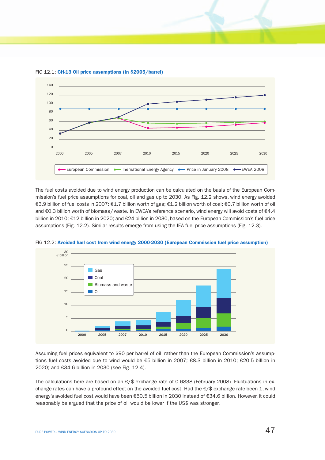2000 2005 2007 2010 2015 2020 2025 2030 140 120 100  $80$  $60$ 40 20  $\overline{O}$ European Commission • Inernational Energy Agency • Price in January 2008 • EWEA 2008

FIG 12.1: **CH-13 Oil price assumptions (in \$2005/barrel)**

The fuel costs avoided due to wind energy production can be calculated on the basis of the European Commission's fuel price assumptions for coal, oil and gas up to 2030. As Fig. 12.2 shows, wind energy avoided €3.9 billion of fuel costs in 2007: €1.7 billion worth of gas; €1.2 billion worth of coal; €0.7 billion worth of oil and €0.3 billion worth of biomass / waste. In EWEA's reference scenario, wind energy will avoid costs of €4.4 billion in 2010; €12 billion in 2020; and €24 billion in 2030, based on the European Commission's fuel price assumptions (Fig. 12.2). Similar results emerge from using the IEA fuel price assumptions (Fig. 12.3).



FIG 12.2: **Avoided fuel cost from wind energy 2000-2030 (European Commission fuel price assumption)**

Assuming fuel prices equivalent to \$90 per barrel of oil, rather than the European Commission's assumptions fuel costs avoided due to wind would be €5 billion in 2007; €8.3 billion in 2010; €20.5 billion in 2020; and €34.6 billion in 2030 (see Fig. 12.4).

The calculations here are based on an €/\$ exchange rate of 0.6838 (February 2008). Fluctuations in exchange rates can have a profound effect on the avoided fuel cost. Had the  $\epsilon/$ \$ exchange rate been 1, wind energy's avoided fuel cost would have been €50.5 billion in 2030 instead of €34.6 billion. However, it could reasonably be argued that the price of oil would be lower if the US\$ was stronger.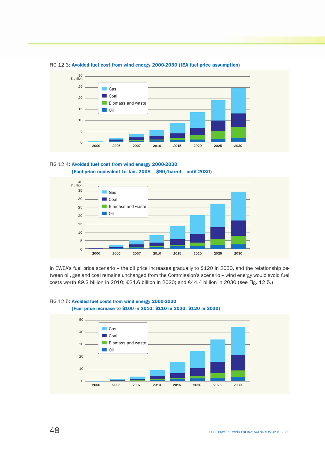

#### FIG 12.3: **Avoided fuel cost from wind energy 2000-2030 (IEA fuel price assumption)**





In EWEA's fuel price scenario – the oil price increases gradually to \$120 in 2030, and the relationship between oil, gas and coal remains unchanged from the Commission's scenario – wind energy would avoid fuel costs worth €9.2 billion in 2010; €24.6 billion in 2020; and €44.4 billion in 2030 (see Fig. 12.5.)



### FIG 12.5: **Avoided fuel costs from wind energy 2000-2030 (Fuel price increase to \$100 in 2010; \$110 in 2020; \$120 in 2030)**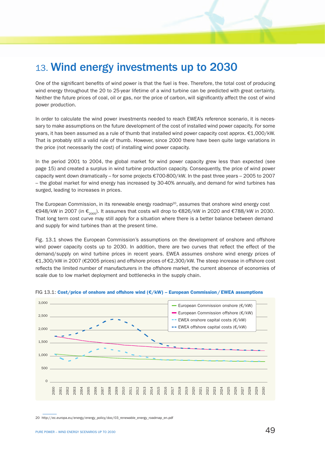# 13. Wind energy investments up to 2030

One of the significant benefits of wind power is that the fuel is free. Therefore, the total cost of producing wind energy throughout the 20 to 25-year lifetime of a wind turbine can be predicted with great certainty. Neither the future prices of coal, oil or gas, nor the price of carbon, will significantly affect the cost of wind power production.

In order to calculate the wind power investments needed to reach EWEA's reference scenario, it is necessary to make assumptions on the future development of the cost of installed wind power capacity. For some years, it has been assumed as a rule of thumb that installed wind power capacity cost approx. €1,000/kW. That is probably still a valid rule of thumb. However, since 2000 there have been quite large variations in the price (not necessarily the cost) of installing wind power capacity.

In the period 2001 to 2004, the global market for wind power capacity grew less than expected (see page 15) and created a surplus in wind turbine production capacity. Consequently, the price of wind power capacity went down dramatically – for some projects €700-800/kW. In the past three years – 2005 to 2007 – the global market for wind energy has increased by 30-40% annually, and demand for wind turbines has surged, leading to increases in prices.

The European Commission, in its renewable energy roadmap<sup>20</sup>, assumes that onshore wind energy cost €948/kW in 2007 (in  $\epsilon_{2005}$ ). It assumes that costs will drop to €826/kW in 2020 and €788/kW in 2030. That long term cost curve may still apply for a situation where there is a better balance between demand and supply for wind turbines than at the present time.

Fig. 13.1 shows the European Commission's assumptions on the development of onshore and offshore wind power capacity costs up to 2030. In addition, there are two curves that reflect the effect of the demand/supply on wind turbine prices in recent years. EWEA assumes onshore wind energy prices of €1,300/kW in 2007 (€2005 prices) and offshore prices of €2,300/kW. The steep increase in offshore cost reflects the limited number of manufacturers in the offshore market, the current absence of economies of scale due to low market deployment and bottlenecks in the supply chain.



FIG 13.1: **Cost/price of onshore and offshore wind (€/kW) – European Commission / EWEA assumptions**

20 http://ec.europa.eu/energy/energy\_policy/doc/03\_renewable\_energy\_roadmap\_en.pdf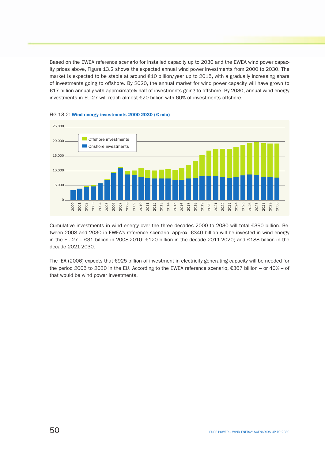Based on the EWEA reference scenario for installed capacity up to 2030 and the EWEA wind power capacity prices above, Figure 13.2 shows the expected annual wind power investments from 2000 to 2030. The market is expected to be stable at around  $\epsilon$ 10 billion/year up to 2015, with a gradually increasing share of investments going to offshore. By 2020, the annual market for wind power capacity will have grown to €17 billion annually with approximately half of investments going to offshore. By 2030, annual wind energy investments in EU-27 will reach almost €20 billion with 60% of investments offshore.



#### FIG 13.2: **Wind energy investments 2000-2030 (€ mio)**

Cumulative investments in wind energy over the three decades 2000 to 2030 will total €390 billion. Between 2008 and 2030 in EWEA's reference scenario, approx. €340 billion will be invested in wind energy in the EU-27 – €31 billion in 2008-2010; €120 billion in the decade 2011-2020; and €188 billion in the decade 2021-2030.

The IEA (2006) expects that €925 billion of investment in electricity generating capacity will be needed for the period 2005 to 2030 in the EU. According to the EWEA reference scenario, €367 billion – or 40% – of that would be wind power investments.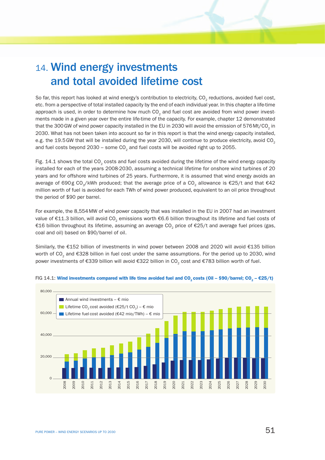# 14. Wind energy investments and total avoided lifetime cost

So far, this report has looked at wind energy's contribution to electricity, CO<sub>2</sub> reductions, avoided fuel cost, etc. from a perspective of total installed capacity by the end of each individual year. In this chapter a life-time approach is used, in order to determine how much CO<sub>2</sub> and fuel cost are avoided from wind power investments made in a given year over the entire life-time of the capacity. For example, chapter 12 demonstrated that the 300 GW of wind power capacity installed in the EU in 2030 will avoid the emission of 576 Mt/CO<sub>2</sub> in 2030. What has not been taken into account so far in this report is that the wind energy capacity installed, e.g. the 19.5 GW that will be installed during the year 2030, will continue to produce electricity, avoid CO<sub>2</sub> and fuel costs beyond  $2030$  – some  $CO<sub>2</sub>$  and fuel costs will be avoided right up to  $2055$ .

Fig. 14.1 shows the total CO<sub>2</sub> costs and fuel costs avoided during the lifetime of the wind energy capacity installed for each of the years 2008-2030, assuming a technical lifetime for onshore wind turbines of 20 years and for offshore wind turbines of 25 years. Furthermore, it is assumed that wind energy avoids an average of 690 g CO<sub>2</sub>/kWh produced; that the average price of a CO<sub>2</sub> allowance is  $\epsilon$ 25/t and that  $\epsilon$ 42 million worth of fuel is avoided for each TWh of wind power produced, equivalent to an oil price throughout the period of \$90 per barrel.

For example, the 8,554 MW of wind power capacity that was installed in the EU in 2007 had an investment value of  $£11.3$  billion, will avoid CO<sub>2</sub> emissions worth  $€6.6$  billion throughout its lifetime and fuel costs of €16 billion throughout its lifetime, assuming an average CO<sub>2</sub> price of €25/t and average fuel prices (gas, coal and oil) based on \$90/barrel of oil.

Similarly, the €152 billion of investments in wind power between 2008 and 2020 will avoid €135 billion worth of CO<sub>2</sub> and €328 billion in fuel cost under the same assumptions. For the period up to 2030, wind power investments of €339 billion will avoid €322 billion in CO<sub>2</sub> cost and €783 billion worth of fuel.



#### FIG 14.1: Wind investments compared with life time avoided fuel and CO<sub>2</sub> costs (Oil – \$90/barrel; CO<sub>2</sub> –  $\epsilon$ 25/t)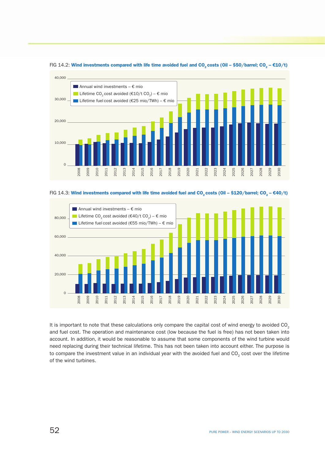



FIG 14.3: Wind investments compared with life time avoided fuel and CO<sub>2</sub> costs (Oil – \$120/barrel; CO<sub>2</sub> –  $\epsilon$ 40/t)



It is important to note that these calculations only compare the capital cost of wind energy to avoided CO<sub>2</sub> and fuel cost. The operation and maintenance cost (low because the fuel is free) has not been taken into account. In addition, it would be reasonable to assume that some components of the wind turbine would need replacing during their technical lifetime. This has not been taken into account either. The purpose is to compare the investment value in an individual year with the avoided fuel and  $CO<sub>2</sub>$  cost over the lifetime of the wind turbines.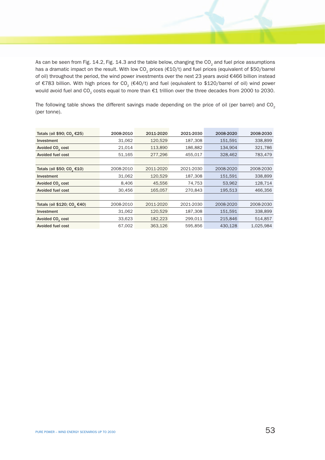As can be seen from Fig. 14.2, Fig. 14.3 and the table below, changing the CO<sub>2</sub> and fuel price assumptions has a dramatic impact on the result. With low CO<sub>2</sub> prices ( $\epsilon$ 10/t) and fuel prices (equivalent of \$50/barrel of oil) throughout the period, the wind power investments over the next 23 years avoid €466 billion instead of €783 billion. With high prices for CO<sub>2</sub> (€40/t) and fuel (equivalent to \$120/barrel of oil) wind power would avoid fuel and CO<sub>2</sub> costs equal to more than  $E1$  trillion over the three decades from 2000 to 2030.

The following table shows the different savings made depending on the price of oil (per barrel) and  $CO<sub>2</sub>$ (per tonne).

| Totals (oil \$90; CO €25)              | 2008-2010 | 2011-2020 | 2021-2030 | 2008-2020 | 2008-2030 |
|----------------------------------------|-----------|-----------|-----------|-----------|-----------|
| Investment                             | 31,062    | 120,529   | 187,308   | 151,591   | 338,899   |
| Avoided CO <sub>2</sub> cost           | 21,014    | 113,890   | 186,882   | 134,904   | 321,786   |
| Avoided fuel cost                      | 51,165    | 277,296   | 455,017   | 328,462   | 783,479   |
|                                        |           |           |           |           |           |
| Totals (oil \$50; CO <sub>2</sub> €10) | 2008-2010 | 2011-2020 | 2021-2030 | 2008-2020 | 2008-2030 |
| Investment                             | 31,062    | 120,529   | 187,308   | 151,591   | 338,899   |
| Avoided CO <sub>2</sub> cost           | 8.406     | 45,556    | 74,753    | 53,962    | 128,714   |
| Avoided fuel cost                      | 30,456    | 165,057   | 270,843   | 195,513   | 466,356   |
|                                        |           |           |           |           |           |
| Totals (oil \$120; CO €40)             | 2008-2010 | 2011-2020 | 2021-2030 | 2008-2020 | 2008-2030 |
| Investment                             | 31,062    | 120,529   | 187,308   | 151,591   | 338,899   |
| Avoided CO <sub>2</sub> cost           | 33,623    | 182,223   | 299,011   | 215,846   | 514,857   |
| Avoided fuel cost                      | 67,002    | 363,126   | 595,856   | 430,128   | 1,025,984 |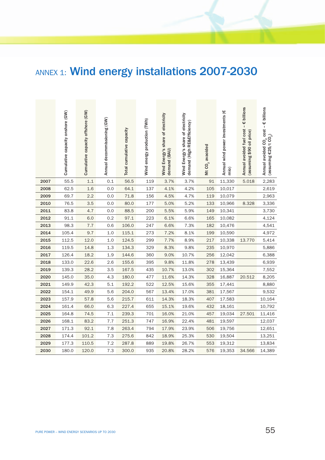# ANNEX 1: Wind energy installations 2007-2030

|      | Cumulative capacity onshore (GW) | Cumulative capacity offshore (GW) | Annual decommissioning (GW) | Total cumulative capacity | Wind energy production (TWh) | Wind Energy's share of electricity<br>demand (BAU) | Wind Energy's share of electricity<br>demand (High RE&Efficiency) | Mt CO <sub>2</sub> avaoided | Annual wind power investments (€<br>mio) | € billions<br>Annual avoided fuel cost -<br>(assuming \$90 oil price) | $ \epsilon$ billions<br>$cost -$<br>Annual avoided CO <sub>2</sub> co<br>(assuming $$25/t$ CO <sub>2</sub> ) |
|------|----------------------------------|-----------------------------------|-----------------------------|---------------------------|------------------------------|----------------------------------------------------|-------------------------------------------------------------------|-----------------------------|------------------------------------------|-----------------------------------------------------------------------|--------------------------------------------------------------------------------------------------------------|
| 2007 | 55.5                             | 1.1                               | 0.1                         | 56.5                      | 119                          | 3.7%                                               | 3.7%                                                              | 91                          | 11,330                                   | 5.018                                                                 | 2,283                                                                                                        |
| 2008 | 62.5                             | 1.6                               | 0.0                         | 64.1                      | 137                          | 4.1%                                               | 4.2%                                                              | 105                         | 10,017                                   |                                                                       | 2,619                                                                                                        |
| 2009 | 69.7                             | 2.2                               | 0.0                         | 71.8                      | 156                          | 4.5%                                               | 4.7%                                                              | 119                         | 10,079                                   |                                                                       | 2,963                                                                                                        |
| 2010 | 76.5                             | 3.5                               | 0.0                         | 80.0                      | 177                          | 5.0%                                               | 5.2%                                                              | 133                         | 10,966                                   | 8.328                                                                 | 3,336                                                                                                        |
| 2011 | 83.8                             | 4.7                               | 0.0                         | 88.5                      | 200                          | 5.5%                                               | 5.9%                                                              | 149                         | 10,341                                   |                                                                       | 3,730                                                                                                        |
| 2012 | 91.1                             | 6.0                               | 0.2                         | 97.1                      | 223                          | 6.1%                                               | 6.6%                                                              | 165                         | 10,082                                   |                                                                       | 4,124                                                                                                        |
| 2013 | 98.3                             | 7.7                               | 0.6                         | 106.0                     | 247                          | 6.6%                                               | 7.3%                                                              | 182                         | 10,476                                   |                                                                       | 4,541                                                                                                        |
| 2014 | 105.4                            | 9.7                               | 1.0                         | 115.1                     | 273                          | 7.2%                                               | 8.1%                                                              | 199                         | 10,590                                   |                                                                       | 4,972                                                                                                        |
| 2015 | 112.5                            | 12.0                              | 1.0                         | 124.5                     | 299                          | 7.7%                                               | 8.9%                                                              | 217                         | 10,338                                   | 13.770                                                                | 5,414                                                                                                        |
| 2016 | 119.5                            | 14.8                              | 1.3                         | 134.3                     | 329                          | 8.3%                                               | 9.8%                                                              | 235                         | 10,970                                   |                                                                       | 5,886                                                                                                        |
| 2017 | 126.4                            | 18.2                              | 1.9                         | 144.6                     | 360                          | 9.0%                                               | 10.7%                                                             | 256                         | 12,042                                   |                                                                       | 6,388                                                                                                        |
| 2018 | 133.0                            | 22.6                              | 2.6                         | 155.6                     | 395                          | 9.8%                                               | 11.8%                                                             | 278                         | 13,439                                   |                                                                       | 6,939                                                                                                        |
| 2019 | 139.3                            | 28.2                              | 3.5                         | 167.5                     | 435                          | 10.7%                                              | 13.0%                                                             | 302                         | 15,364                                   |                                                                       | 7,552                                                                                                        |
| 2020 | 145.0                            | 35.0                              | 4.3                         | 180.0                     | 477                          | 11.6%                                              | 14.3%                                                             | 328                         | 16,887                                   | 20.512                                                                | 8,205                                                                                                        |
| 2021 | 149.9                            | 42.3                              | 5.1                         | 192.2                     | 522                          | 12.5%                                              | 15.6%                                                             | 355                         | 17,441                                   |                                                                       | 8,880                                                                                                        |
| 2022 | 154.1                            | 49.9                              | 5.6                         | 204.0                     | 567                          | 13.4%                                              | 17.0%                                                             | 381                         | 17,567                                   |                                                                       | 9,532                                                                                                        |
| 2023 | 157.9                            | 57.8                              | 5.6                         | 215.7                     | 611                          | 14.3%                                              | 18.3%                                                             | 407                         | 17,583                                   |                                                                       | 10,164                                                                                                       |
| 2024 | 161.4                            | 66.0                              | 6.3                         | 227.4                     | 655                          | 15.1%                                              | 19.6%                                                             | 432                         | 18,161                                   |                                                                       | 10,792                                                                                                       |
| 2025 | 164.8                            | 74.5                              | 7.1                         | 239.3                     | 701                          | 16.0%                                              | 21.0%                                                             | 457                         | 19,034                                   | 27.501                                                                | 11,416                                                                                                       |
| 2026 | 168.1                            | 83.2                              | 7.7                         | 251.3                     | 747                          | 16.9%                                              | 22.4%                                                             | 481                         | 19,597                                   |                                                                       | 12,037                                                                                                       |
| 2027 | 171.3                            | 92.1                              | 7.8                         | 263.4                     | 794                          | 17.9%                                              | 23.9%                                                             | 506                         | 19,756                                   |                                                                       | 12,651                                                                                                       |
| 2028 | 174.4                            | 101.2                             | 7.3                         | 275.6                     | 842                          | 18.9%                                              | 25.3%                                                             | 530                         | 19,504                                   |                                                                       | 13,251                                                                                                       |
| 2029 | 177.3                            | 110.5                             | 7.2                         | 287.8                     | 889                          | 19.8%                                              | 26.7%                                                             | 553                         | 19,312                                   |                                                                       | 13,834                                                                                                       |
| 2030 | 180.0                            | 120.0                             | 7.3                         | 300.0                     | 935                          | 20.8%                                              | 28.2%                                                             | 576                         | 19,353                                   | 34.566                                                                | 14,389                                                                                                       |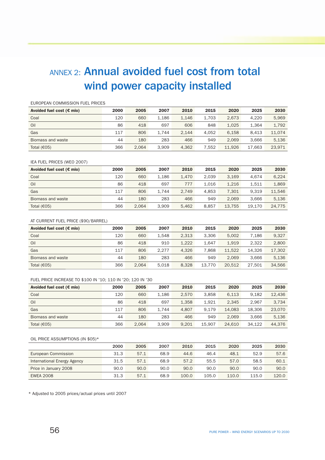# ANNEX 2: Annual avoided fuel cost from total wind power capacity installed

| _____________________________________ |      |       |       |       |       |        |        |        |  |
|---------------------------------------|------|-------|-------|-------|-------|--------|--------|--------|--|
| Avoided fuel cost ( $\epsilon$ mio)   | 2000 | 2005  | 2007  | 2010  | 2015  | 2020   | 2025   | 2030   |  |
| Coal                                  | 120  | 660   | 1.186 | 1.146 | 1.703 | 2.673  | 4.220  | 5,969  |  |
| Oil                                   | 86   | 418   | 697   | 606   | 848   | 1.025  | 1.364  | 1,792  |  |
| Gas                                   | 117  | 806   | 1.744 | 2.144 | 4.052 | 6.158  | 8.413  | 11.074 |  |
| Biomass and waste                     | 44   | 180   | 283   | 466   | 949   | 2.069  | 3.666  | 5,136  |  |
| Total $(605)$                         | 366  | 2.064 | 3.909 | 4.362 | 7.552 | 11.926 | 17.663 | 23,971 |  |

#### EUROPEAN COMMISSION FUEL PRICES

#### IEA FUEL PRICES (WEO 2007)

| Avoided fuel cost ( $\epsilon$ mio) | 2000 | 2005  | 2007  | 2010  | 2015  | 2020   | 2025   | 2030   |
|-------------------------------------|------|-------|-------|-------|-------|--------|--------|--------|
| Coal                                | 120  | 660   | 1.186 | 1.470 | 2.039 | 3,169  | 4.674  | 6,224  |
| Oil                                 | 86   | 418   | 697   | 777   | 1.016 | 1,216  | 1.511  | 1,869  |
| Gas                                 | 117  | 806   | 1.744 | 2.749 | 4.853 | 7,301  | 9.319  | 11.546 |
| Biomass and waste                   | 44   | 180   | 283   | 466   | 949   | 2.069  | 3.666  | 5,136  |
| Total $(605)$                       | 366  | 2,064 | 3.909 | 5.462 | 8.857 | 13.755 | 19.170 | 24,775 |

#### AT CURRENT FUEL PRICE (\$90/BARREL)

| Avoided fuel cost ( $\epsilon$ mio) | 2000 | 2005  | 2007  | 2010  | 2015   | 2020   | 2025   | 2030   |
|-------------------------------------|------|-------|-------|-------|--------|--------|--------|--------|
| Coal                                | 120  | 660   | 1.548 | 2.313 | 3.306  | 5.002  | 7,186  | 9,327  |
| Oil                                 | 86   | 418   | 910   | 1,222 | 1.647  | 1.919  | 2,322  | 2,800  |
| Gas                                 | 117  | 806   | 2.277 | 4.326 | 7.868  | 11.522 | 14.326 | 17,302 |
| Biomass and waste                   | 44   | 180   | 283   | 466   | 949    | 2.069  | 3.666  | 5,136  |
| Total $(605)$                       | 366  | 2.064 | 5.018 | 8,328 | 13.770 | 20.512 | 27.501 | 34,566 |

#### FUEL PRICE INCREASE TO \$100 IN '10; 110 IN '20; 120 IN '30

| Avoided fuel cost ( $\epsilon$ mio) | 2000 | 2005  | 2007  | 2010  | 2015   | 2020   | 2025   | 2030   |
|-------------------------------------|------|-------|-------|-------|--------|--------|--------|--------|
| Coal                                | 120  | 660   | 1,186 | 2.570 | 3.858  | 6,113  | 9,182  | 12,436 |
| Oil                                 | 86   | 418   | 697   | 1.358 | 1.921  | 2.345  | 2.967  | 3.734  |
| Gas                                 | 117  | 806   | 1.744 | 4.807 | 9.179  | 14.083 | 18.306 | 23,070 |
| Biomass and waste                   | 44   | 180   | 283   | 466   | 949    | 2.069  | 3.666  | 5,136  |
| Total $(605)$                       | 366  | 2.064 | 3.909 | 9.201 | 15.907 | 24.610 | 34.122 | 44.376 |

#### OIL PRICE ASSUMPTIONS (IN \$05)\*

|                             | 2000 | 2005 | 2007 | 2010  | 2015  | 2020  | 2025  | 2030  |
|-----------------------------|------|------|------|-------|-------|-------|-------|-------|
| European Commission         | 31.3 | 57.1 | 68.9 | 44.6  | 46.4  | 48.1  | 52.9  | 57.6  |
| International Energy Agency | 31.5 | 57.1 | 68.9 | 57.2  | 55.5  | 57.0  | 58.5  | 60.1  |
| Price in January 2008       | 90.0 | 90.0 | 90.0 | 90.0  | 90.0  | 90.0  | 90.0  | 90.0  |
| <b>EWEA 2008</b>            | 31.3 | 57.1 | 68.9 | 100.0 | 105.0 | 110.0 | 115.0 | 120.0 |

\* Adjusted to 2005 prices/actual prices until 2007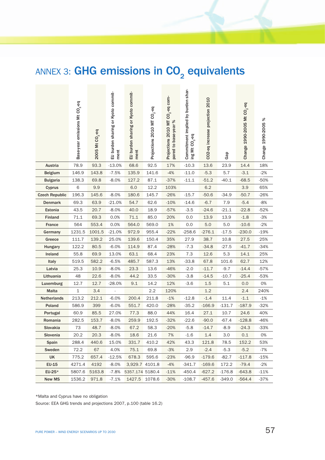# ANNEX 3: GHG emissions in  $CO<sub>2</sub>$  equivalents

|                       | Base-year emissions Mt CO <sub>2</sub> -eq | 2005 Mt CO <sub>2</sub> -eq | EU burden sharing or Kyoto commit-<br>ment | EU burden sharing or Kyoto commit-<br>ment | Projections 2010 MT CO <sub>2</sub> -eq | Projections 2010 MT CO <sub>2</sub> -eq com-<br>pared to base-year % | Commitment implied by burden shar-<br>ing Mt CO <sub>2</sub> -eq | CO2-eq increase projection 2010 | Gap      | Change 1990-2005 Mt CO <sub>2</sub> -eq | Change 1990-2005 % |
|-----------------------|--------------------------------------------|-----------------------------|--------------------------------------------|--------------------------------------------|-----------------------------------------|----------------------------------------------------------------------|------------------------------------------------------------------|---------------------------------|----------|-----------------------------------------|--------------------|
| Austria               | 78.9                                       | 93.3                        | $-13.0%$                                   | 68.6                                       | 92.5                                    | 17%                                                                  | $-10.3$                                                          | 13.6                            | 23.9     | 14.4                                    | 18%                |
| Belgium               | 146.9                                      | 143.8                       | $-7.5%$                                    | 135.9                                      | 141.6                                   | $-4%$                                                                | $-11.0$                                                          | $-5.3$                          | 5.7      | $-3.1$                                  | $-2%$              |
| <b>Bulgaria</b>       | 138.3                                      | 69.8                        | $-8.0%$                                    | 127.2                                      | 87.1                                    | $-37%$                                                               | $-11.1$                                                          | $-51.2$                         | $-40.1$  | $-68.5$                                 | $-50%$             |
| Cyprus                | 6                                          | 9.9                         |                                            | 6.0                                        | 12.2                                    | 103%                                                                 |                                                                  | 6.2                             |          | 3.9                                     | 65%                |
| <b>Czech Republic</b> | 196.3                                      | 145.6                       | $-8.0%$                                    | 180.6                                      | 145.7                                   | $-26%$                                                               | $-15.7$                                                          | $-50.6$                         | $-34.9$  | $-50.7$                                 | $-26%$             |
| <b>Denmark</b>        | 69.3                                       | 63.9                        | $-21.0%$                                   | 54.7                                       | 62.6                                    | $-10%$                                                               | $-14.6$                                                          | $-6.7$                          | 7.9      | $-5.4$                                  | $-8%$              |
| Estonia               | 43.5                                       | 20.7                        | $-8.0%$                                    | 40.0                                       | 18.9                                    | $-57%$                                                               | $-3.5$                                                           | $-24.6$                         | $-21.1$  | $-22.8$                                 | $-52%$             |
| <b>Finland</b>        | 71.1                                       | 69.3                        | 0.0%                                       | 71.1                                       | 85.0                                    | 20%                                                                  | 0.0                                                              | 13.9                            | 13.9     | $-1.8$                                  | $-3%$              |
| France                | 564                                        | 553.4                       | 0.0%                                       | 564.0                                      | 569.0                                   | 1%                                                                   | 0.0                                                              | 5.0                             | 5.0      | $-10.6$                                 | $-2%$              |
| Germany               | 1231.5                                     | 1001.5                      | $-21.0%$                                   | 972.9                                      | 955.4                                   | $-22%$                                                               | $-258.6$                                                         | $-276.1$                        | $-17.5$  | $-230.0$                                | $-19%$             |
| Greece                | 111.7                                      | 139.2                       | 25.0%                                      | 139.6                                      | 150.4                                   | 35%                                                                  | 27.9                                                             | 38.7                            | 10.8     | 27.5                                    | 25%                |
| Hungary               | 122.2                                      | 80.5                        | $-6.0%$                                    | 114.9                                      | 87.4                                    | $-28%$                                                               | $-7.3$                                                           | $-34.8$                         | $-27.5$  | $-41.7$                                 | $-34%$             |
| Ireland               | 55.8                                       | 69.9                        | 13.0%                                      | 63.1                                       | 68.4                                    | 23%                                                                  | 7.3                                                              | 12.6                            | 5.3      | 14.1                                    | 25%                |
| Italy                 | 519.5                                      | 582.2                       | -6.5%                                      | 485.7                                      | 587.3                                   | 13%                                                                  | $-33.8$                                                          | 67.8                            | 101.6    | 62.7                                    | 12%                |
| Latvia                | 25.3                                       | 10.9                        | $-8.0%$                                    | 23.3                                       | 13.6                                    | $-46%$                                                               | $-2.0$                                                           | $-11.7$                         | $-9.7$   | $-14.4$                                 | $-57%$             |
| Lithuania             | 48                                         | 22.6                        | $-8.0%$                                    | 44.2                                       | 33.5                                    | $-30%$                                                               | $-3.8$                                                           | $-14.5$                         | $-10.7$  | $-25.4$                                 | $-53%$             |
| Luxemburg             | 12.7                                       | 12.7                        | -28.0%                                     | 9.1                                        | 14.2                                    | 12%                                                                  | $-3.6$                                                           | 1.5                             | 5.1      | 0.0                                     | 0%                 |
| Malta                 | $1\,$                                      | 3.4                         |                                            |                                            | 2.2                                     | 120%                                                                 |                                                                  | 1.2                             |          | 2.4                                     | 240%               |
| Netherlands           | 213.2                                      | 212.1                       | -6.0%                                      | 200.4                                      | 211.8                                   | $-1%$                                                                | $-12.8$                                                          | $-1.4$                          | 11.4     | $-1.1$                                  | $-1%$              |
| Poland                | 586.9                                      | 399                         | $-6.0%$                                    | 551.7                                      | 420.0                                   | $-28%$                                                               | $-35.2$                                                          | $-166.9$                        | $-131.7$ | $-187.9$                                | $-32%$             |
| Portugal              | 60.9                                       | 85.5                        | 27.0%                                      | 77.3                                       | 88.0                                    | 44%                                                                  | 16.4                                                             | 27.1                            | 10.7     | 24.6                                    | 40%                |
| Romania               | 282.5                                      | 153.7                       | $-8.0%$                                    | 259.9                                      | 192.5                                   | -32%                                                                 | $-22.6$                                                          | $-90.0$                         | $-67.4$  | $-128.8$                                | $-46%$             |
| Slovakia              | 73                                         | 48.7                        | -8.0%                                      | 67.2                                       | 58.3                                    | $-20%$                                                               | $-5.8$                                                           | $-14.7$                         | $-8.9$   | $-24.3$                                 | -33%               |
| Slovenia              | 20.2                                       | 20.3                        | $-8.0%$                                    | 18.6                                       | 21.6                                    | 7%                                                                   | $-1.6$                                                           | 1.4                             | 3.0      | $0.1\,$                                 | 0%                 |
| Spain                 | 288.4                                      | 440.6                       | 15.0%                                      | 331.7                                      | 410.2                                   | 42%                                                                  | 43.3                                                             | 121.8                           | 78.5     | 152.2                                   | 53%                |
| Sweden                | 72.2                                       | 67                          | 4.0%                                       | 75.1                                       | 69.8                                    | $-3%$                                                                | 2.9                                                              | $-2.4$                          | $-5.3$   | $-5.2$                                  | $-7%$              |
| UK                    | 775.2                                      | 657.4                       | $-12.5%$                                   | 678.3                                      | 595.6                                   | $-23%$                                                               | $-96.9$                                                          | $-179.6$                        | $-82.7$  | $-117.8$                                | $-15%$             |
| EU-15                 | 4271.4                                     | 4192                        | $-8.0%$                                    | 3,929.7                                    | 4101.8                                  | $-4%$                                                                | $-341.7$                                                         | $-169.6$                        | 172.2    | $-79.4$                                 | $-2%$              |
| $EU-25*$              | 5807.6                                     | 5163.8                      | $-7.8%$                                    | 5357.174 5180.4                            |                                         | $-11%$                                                               | $-450.4$                                                         | $-627.2$                        | $-176.8$ | $-643.8$                                | $-11%$             |
| New MS                | 1536.2                                     | 971.8                       | $-7.1%$                                    | 1427.5                                     | 1078.6                                  | $-30%$                                                               | $-108.7$                                                         | $-457.6$                        | $-349.0$ | $-564.4$                                | $-37%$             |

\*Malta and Cyprus have no obligation

Source: EEA GHG trends and projections 2007, p.100 (table 16.2)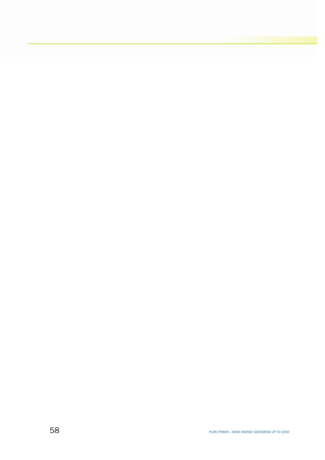FREE POWER – WIND ENERGY SCENARIOS UP TO 2030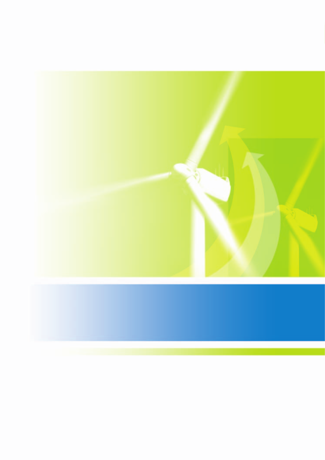